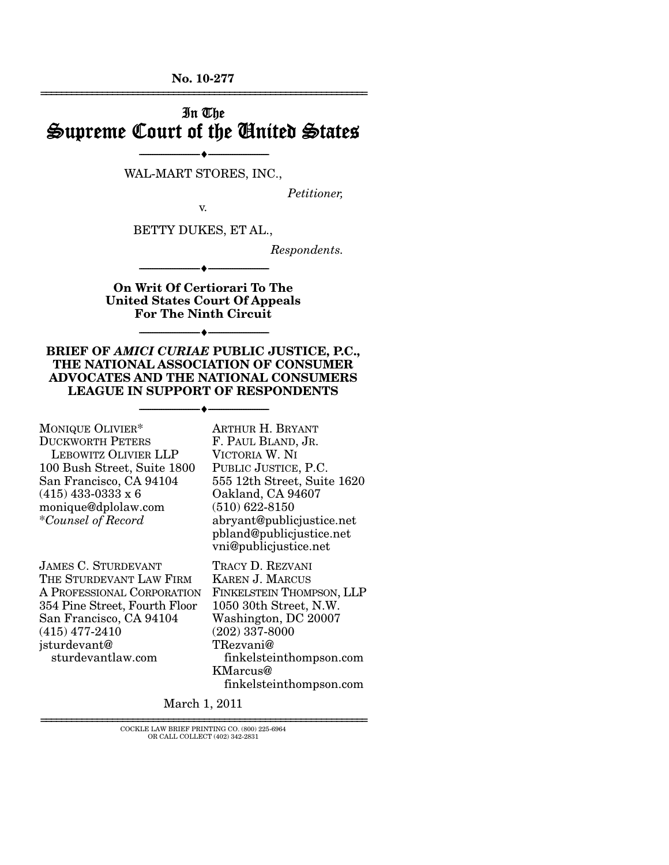**No. 10-277**  ================================================================

# In The Supreme Court of the United States

--------------------------------- ♦ --------------------------------- WAL-MART STORES, INC.,

*Petitioner,* 

v.

BETTY DUKES, ET AL.,

*Respondents.* 

**On Writ Of Certiorari To The United States Court Of Appeals For The Ninth Circuit** 

--------------------------------- ♦ ---------------------------------

--------------------------------- ♦ ---------------------------------

**BRIEF OF** *AMICI CURIAE* **PUBLIC JUSTICE, P.C., THE NATIONAL ASSOCIATION OF CONSUMER ADVOCATES AND THE NATIONAL CONSUMERS LEAGUE IN SUPPORT OF RESPONDENTS** 

--------------------------------- ♦ ---------------------------------

MONIQUE OLIVIER\* DUCKWORTH PETERS LEBOWITZ OLIVIER LLP 100 Bush Street, Suite 1800 San Francisco, CA 94104 (415) 433-0333 x 6 monique@dplolaw.com \**Counsel of Record* 

VICTORIA W. NI PUBLIC JUSTICE, P.C. 555 12th Street, Suite 1620 Oakland, CA 94607 (510) 622-8150 abryant@publicjustice.net pbland@publicjustice.net vni@publicjustice.net

ARTHUR H. BRYANT F. PAUL BLAND, JR.

JAMES C. STURDEVANT THE STURDEVANT LAW FIRM A PROFESSIONAL CORPORATION 354 Pine Street, Fourth Floor San Francisco, CA 94104 (415) 477-2410 jsturdevant@ sturdevantlaw.com

TRACY D. REZVANI KAREN J. MARCUS FINKELSTEIN THOMPSON, LLP 1050 30th Street, N.W. Washington, DC 20007 (202) 337-8000 TRezvani@ finkelsteinthompson.com KMarcus@ finkelsteinthompson.com

March 1, 2011

================================================================ COCKLE LAW BRIEF PRINTING CO. (800) 225-6964 OR CALL COLLECT (402) 342-2831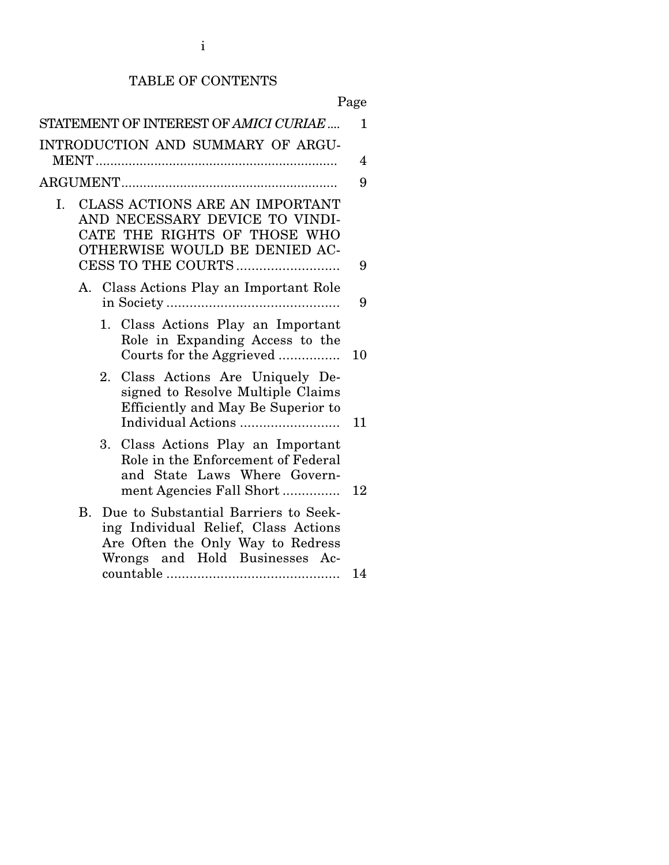## TABLE OF CONTENTS

Page

|    |           | STATEMENT OF INTEREST OF AMICI CURIAE                                                                                                                   | $\mathbf{1}$ |
|----|-----------|---------------------------------------------------------------------------------------------------------------------------------------------------------|--------------|
|    |           | INTRODUCTION AND SUMMARY OF ARGU-                                                                                                                       | 4            |
|    |           |                                                                                                                                                         | 9            |
| I. |           | CLASS ACTIONS ARE AN IMPORTANT<br>AND NECESSARY DEVICE TO VINDI-<br>CATE THE RIGHTS OF THOSE WHO<br>OTHERWISE WOULD BE DENIED AC-<br>CESS TO THE COURTS | 9            |
|    |           | A. Class Actions Play an Important Role                                                                                                                 |              |
|    |           |                                                                                                                                                         | 9            |
|    |           | 1. Class Actions Play an Important<br>Role in Expanding Access to the<br>Courts for the Aggrieved                                                       | 10           |
|    |           | Class Actions Are Uniquely De-<br>2.<br>signed to Resolve Multiple Claims<br>Efficiently and May Be Superior to                                         | 11           |
|    |           | Class Actions Play an Important<br>3.<br>Role in the Enforcement of Federal<br>and State Laws Where Govern-<br>ment Agencies Fall Short                 | 12           |
|    | <b>B.</b> | Due to Substantial Barriers to Seek-<br>ing Individual Relief, Class Actions<br>Are Often the Only Way to Redress<br>Wrongs and Hold Businesses Ac-     | 14           |
|    |           |                                                                                                                                                         |              |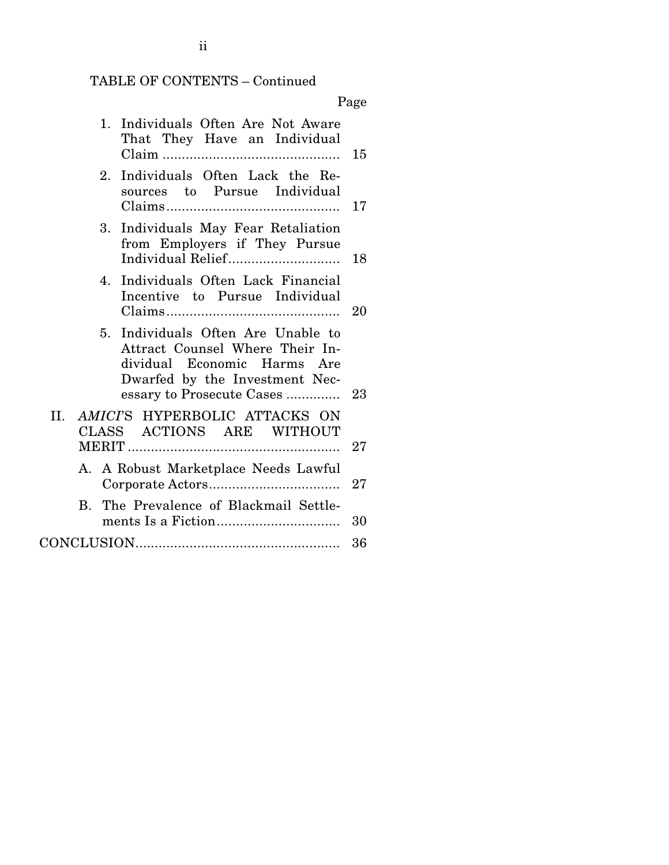# TABLE OF CONTENTS – Continued

# Page

| Individuals Often Are Not Aware<br>1.<br>That They Have an Individual                                                                                                              | 15 |
|------------------------------------------------------------------------------------------------------------------------------------------------------------------------------------|----|
| 2. Individuals Often Lack the Re-<br>sources to Pursue Individual                                                                                                                  | 17 |
| Individuals May Fear Retaliation<br>3.<br>from Employers if They Pursue<br>Individual Relief                                                                                       | 18 |
| Individuals Often Lack Financial<br>4.<br>Incentive to Pursue Individual                                                                                                           | 20 |
| Individuals Often Are Unable to<br>5 <sub>1</sub><br>Attract Counsel Where Their In-<br>dividual Economic Harms Are<br>Dwarfed by the Investment Nec-<br>essary to Prosecute Cases | 23 |
| AMICTS HYPERBOLIC ATTACKS ON<br>II.<br>CLASS ACTIONS ARE WITHOUT                                                                                                                   | 27 |
| A. A Robust Marketplace Needs Lawful                                                                                                                                               | 27 |
| The Prevalence of Blackmail Settle-<br>R.                                                                                                                                          | 30 |
|                                                                                                                                                                                    | 36 |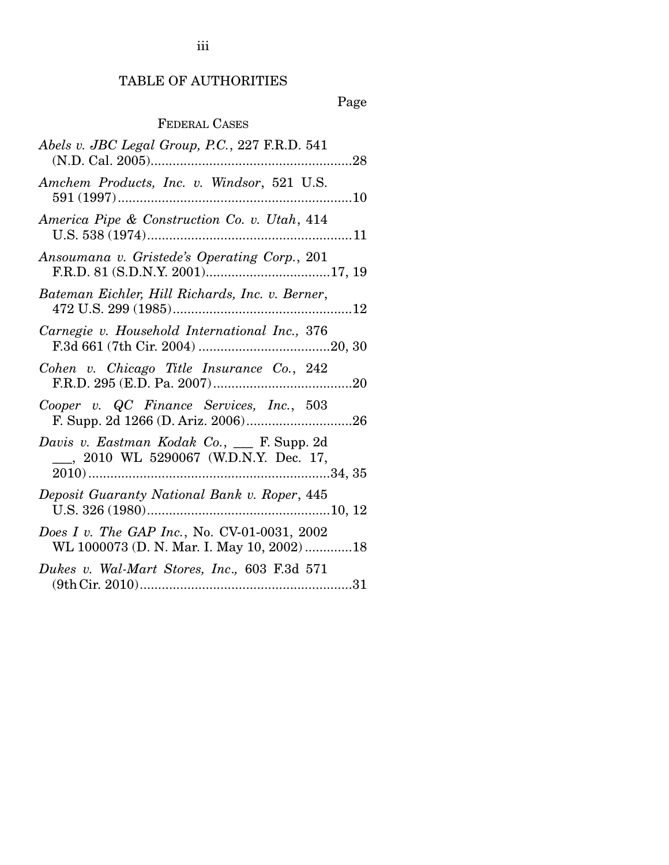## TABLE OF AUTHORITIES

## Page

## FEDERAL CASES

| Abels v. JBC Legal Group, P.C., 227 F.R.D. 541                                             |
|--------------------------------------------------------------------------------------------|
| Amchem Products, Inc. v. Windsor, 521 U.S.                                                 |
| America Pipe & Construction Co. v. Utah, 414                                               |
| Ansoumana v. Gristede's Operating Corp., 201                                               |
| Bateman Eichler, Hill Richards, Inc. v. Berner,                                            |
| Carnegie v. Household International Inc., 376                                              |
| Cohen v. Chicago Title Insurance Co., 242                                                  |
| Cooper v. QC Finance Services, Inc., 503                                                   |
| Davis v. Eastman Kodak Co., __ F. Supp. 2d<br>___, 2010 WL 5290067 (W.D.N.Y. Dec. 17,      |
| Deposit Guaranty National Bank v. Roper, 445                                               |
| Does I v. The GAP Inc., No. CV-01-0031, 2002<br>WL 1000073 (D. N. Mar. I. May 10, 2002) 18 |
| Dukes v. Wal-Mart Stores, Inc., 603 F.3d 571                                               |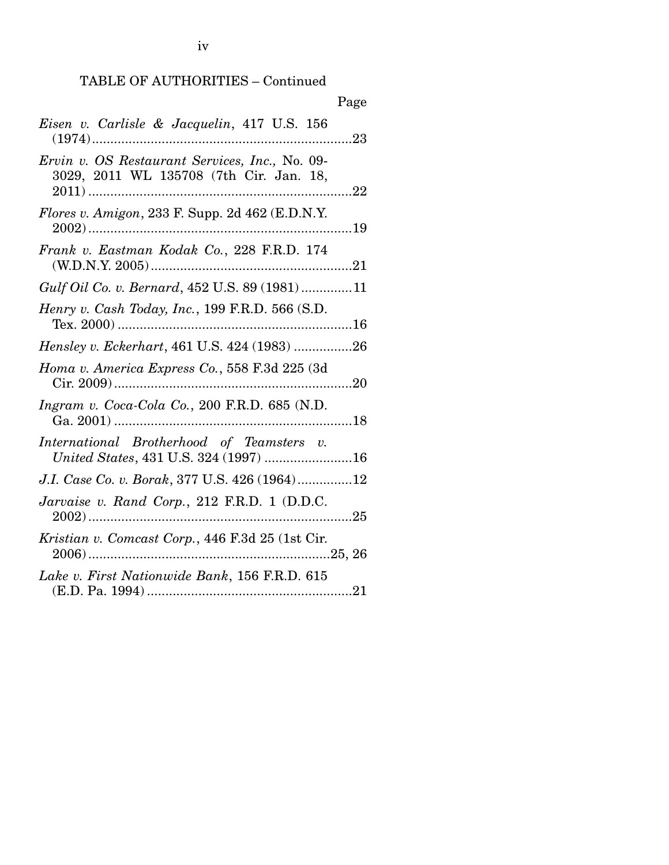| Page                                                                                             |
|--------------------------------------------------------------------------------------------------|
| Eisen v. Carlisle & Jacquelin, 417 U.S. 156                                                      |
| Ervin v. OS Restaurant Services, Inc., No. 09-<br>3029, 2011 WL 135708 (7th Cir. Jan. 18,<br>.22 |
| Flores v. Amigon, 233 F. Supp. 2d $462$ (E.D.N.Y.                                                |
| Frank v. Eastman Kodak Co., 228 F.R.D. 174                                                       |
| Gulf Oil Co. v. Bernard, 452 U.S. 89 (1981)11                                                    |
| Henry v. Cash Today, Inc., 199 F.R.D. 566 (S.D.                                                  |
| Hensley v. Eckerhart, 461 U.S. 424 (1983) 26                                                     |
| Homa v. America Express Co., 558 F.3d 225 (3d)                                                   |
| Ingram v. Coca-Cola Co., 200 F.R.D. 685 (N.D.                                                    |
| International Brotherhood of Teamsters v.<br>United States, 431 U.S. 324 (1997) 16               |
| J.I. Case Co. v. Borak, 377 U.S. 426 (1964)12                                                    |
| Jarvaise v. Rand Corp., 212 F.R.D. 1 (D.D.C.                                                     |
| Kristian v. Comcast Corp., 446 F.3d 25 (1st Cir.                                                 |
| Lake v. First Nationwide Bank, 156 F.R.D. 615                                                    |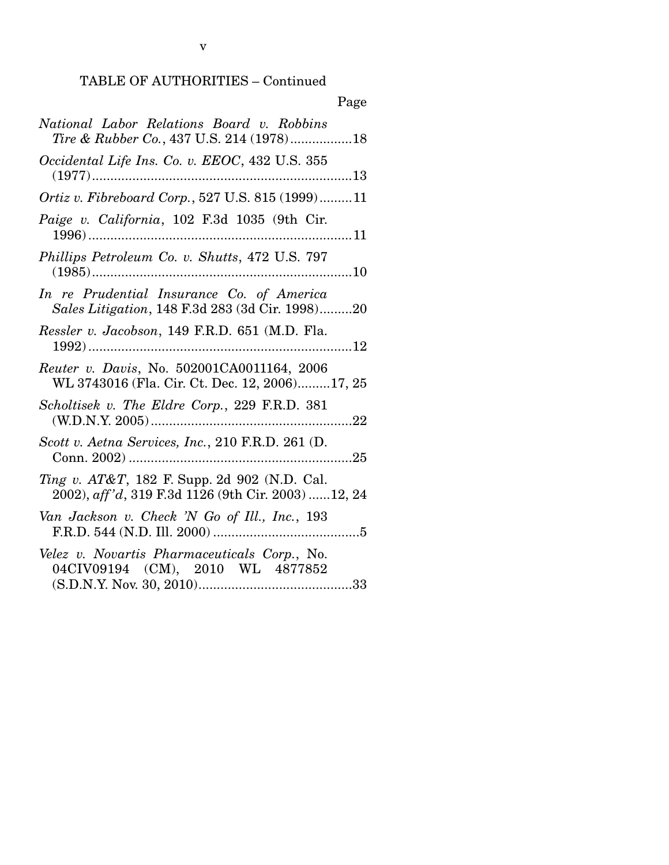| ×<br>٧ |
|--------|
|--------|

| National Labor Relations Board v. Robbins<br>Tire & Rubber Co., 437 U.S. 214 (1978)18                          |
|----------------------------------------------------------------------------------------------------------------|
| Occidental Life Ins. Co. v. EEOC, 432 U.S. 355<br>$(1977)$                                                     |
| Ortiz v. Fibreboard Corp., 527 U.S. 815 (1999)11                                                               |
| Paige v. California, 102 F.3d 1035 (9th Cir.                                                                   |
| Phillips Petroleum Co. v. Shutts, 472 U.S. 797                                                                 |
| In re Prudential Insurance Co. of America<br>Sales Litigation, 148 F.3d 283 (3d Cir. 1998)20                   |
| Ressler v. Jacobson, 149 F.R.D. 651 (M.D. Fla.                                                                 |
| Reuter v. Davis, No. 502001CA0011164, 2006<br>WL 3743016 (Fla. Cir. Ct. Dec. 12, 2006)17, 25                   |
| Scholtisek v. The Eldre Corp., 229 F.R.D. 381                                                                  |
| Scott v. Aetna Services, Inc., 210 F.R.D. 261 (D.                                                              |
| <i>Ting v. AT&amp;T</i> , 182 F. Supp. 2d 902 (N.D. Cal.<br>2002), aff'd, 319 F.3d 1126 (9th Cir. 2003) 12, 24 |
| Van Jackson v. Check 'N Go of Ill., Inc., 193                                                                  |
| Velez v. Novartis Pharmaceuticals Corp., No.<br>04CIV09194 (CM), 2010 WL 4877852                               |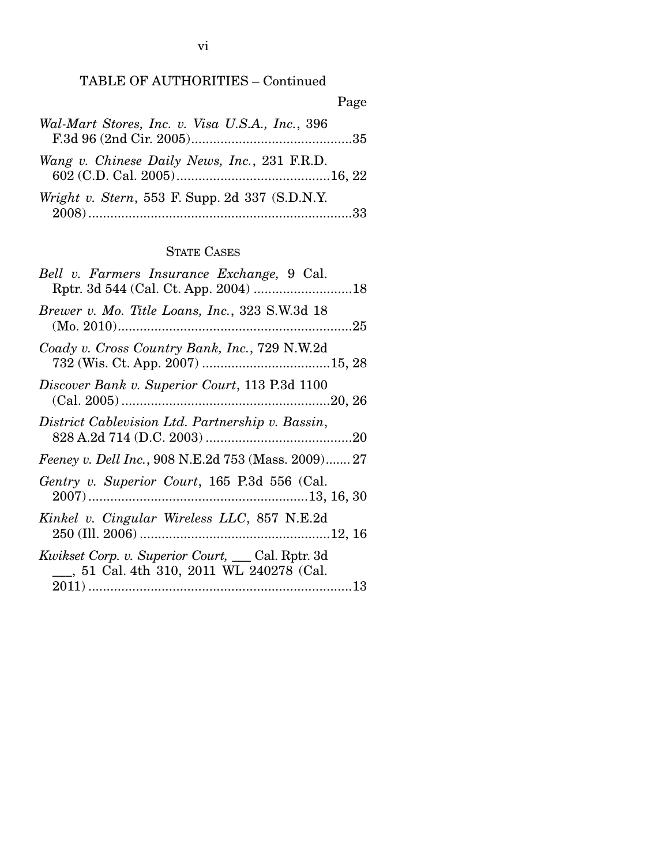## TABLE OF AUTHORITIES – Continued

|                                                  | Page |
|--------------------------------------------------|------|
| Wal-Mart Stores, Inc. v. Visa U.S.A., Inc., 396  |      |
| Wang v. Chinese Daily News, Inc., 231 F.R.D.     |      |
| Wright v. Stern, 553 F. Supp. 2d 337 $(S.D.N.Y.$ |      |

### STATE CASES

| Bell v. Farmers Insurance Exchange, 9 Cal.                                                            |
|-------------------------------------------------------------------------------------------------------|
| Brewer v. Mo. Title Loans, Inc., 323 S.W.3d 18                                                        |
| Coady v. Cross Country Bank, Inc., 729 N.W.2d                                                         |
| Discover Bank v. Superior Court, 113 P.3d 1100                                                        |
| District Cablevision Ltd. Partnership v. Bassin,                                                      |
| Feeney v. Dell Inc., 908 N.E.2d 753 (Mass. 2009) 27                                                   |
| Gentry v. Superior Court, 165 P.3d 556 (Cal.                                                          |
| Kinkel v. Cingular Wireless LLC, 857 N.E.2d                                                           |
| <i>Kwikset Corp. v. Superior Court, ___ Cal. Rptr. 3d</i><br>_, 51 Cal. 4th 310, 2011 WL 240278 (Cal. |
|                                                                                                       |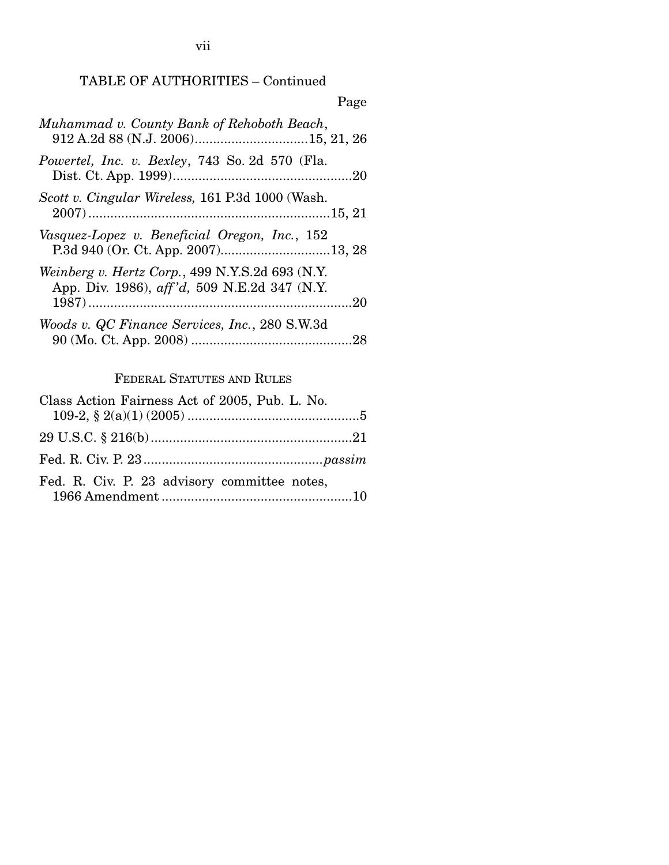## TABLE OF AUTHORITIES – Continued

| Page                                                                                            |
|-------------------------------------------------------------------------------------------------|
| Muhammad v. County Bank of Rehoboth Beach,                                                      |
| Powertel, Inc. v. Bexley, 743 So. 2d 570 (Fla.                                                  |
| Scott v. Cingular Wireless, 161 P.3d 1000 (Wash.                                                |
| Vasquez-Lopez v. Beneficial Oregon, Inc., 152<br>P.3d 940 (Or. Ct. App. 2007)13, 28             |
| Weinberg v. Hertz Corp., 499 N.Y.S.2d 693 (N.Y.<br>App. Div. 1986), aff'd, 509 N.E.2d 347 (N.Y. |
| Woods v. QC Finance Services, Inc., 280 S.W.3d                                                  |

## FEDERAL STATUTES AND RULES

| Class Action Fairness Act of 2005, Pub. L. No. |  |
|------------------------------------------------|--|
|                                                |  |
|                                                |  |
|                                                |  |
| Fed. R. Civ. P. 23 advisory committee notes,   |  |
|                                                |  |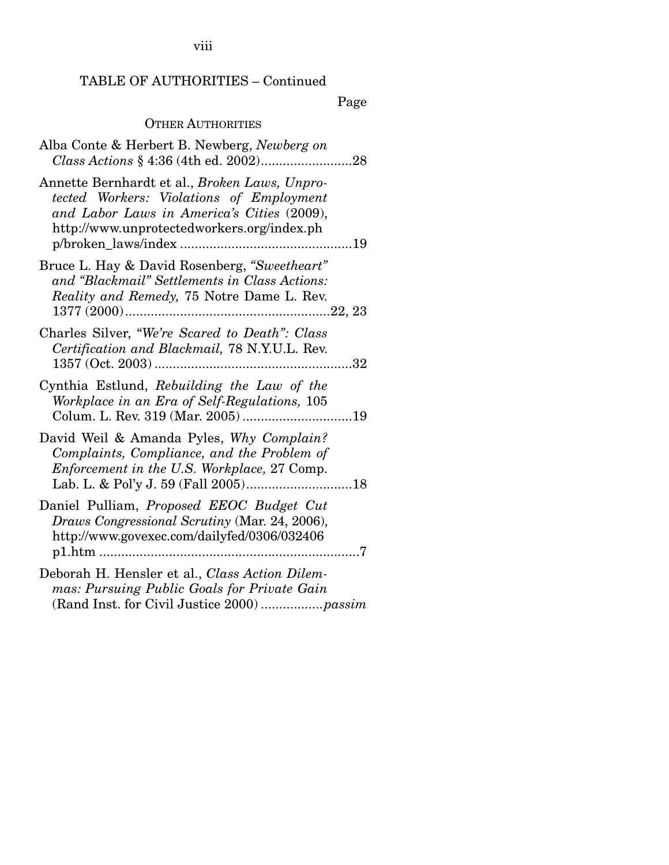viii

## TABLE OF AUTHORITIES – Continued

Page

## OTHER AUTHORITIES

| Alba Conte & Herbert B. Newberg, Newberg on                                                                                                                                           |
|---------------------------------------------------------------------------------------------------------------------------------------------------------------------------------------|
| Annette Bernhardt et al., Broken Laws, Unpro-<br>tected Workers: Violations of Employment<br>and Labor Laws in America's Cities (2009),<br>http://www.unprotectedworkers.org/index.ph |
| Bruce L. Hay & David Rosenberg, "Sweetheart"<br>and "Blackmail" Settlements in Class Actions:<br>Reality and Remedy, 75 Notre Dame L. Rev.                                            |
| Charles Silver, "We're Scared to Death": Class<br>Certification and Blackmail, 78 N.Y.U.L. Rev.<br>32                                                                                 |
| Cynthia Estlund, Rebuilding the Law of the<br>Workplace in an Era of Self-Regulations, 105<br>Colum. L. Rev. 319 (Mar. 2005) 19                                                       |
| David Weil & Amanda Pyles, Why Complain?<br>Complaints, Compliance, and the Problem of<br><i>Enforcement in the U.S. Workplace, 27 Comp.</i>                                          |
| Daniel Pulliam, Proposed EEOC Budget Cut<br>Draws Congressional Scrutiny (Mar. 24, 2006),<br>http://www.govexec.com/dailyfed/0306/032406                                              |
| Deborah H. Hensler et al., Class Action Dilem-<br>mas: Pursuing Public Goals for Private Gain                                                                                         |

(Rand Inst. for Civil Justice 2000) ................. *passim*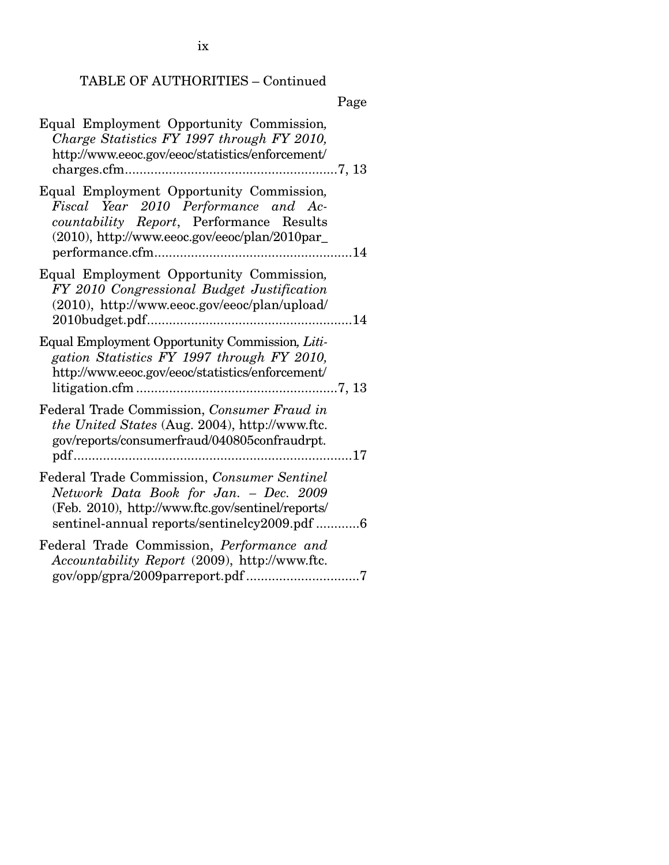# TABLE OF AUTHORITIES – Continued

# Page

| Equal Employment Opportunity Commission,<br>Charge Statistics FY 1997 through FY 2010,<br>http://www.eeoc.gov/eeoc/statistics/enforcement/                                                 |  |
|--------------------------------------------------------------------------------------------------------------------------------------------------------------------------------------------|--|
| Equal Employment Opportunity Commission,<br>Fiscal Year 2010 Performance and Ac-<br>countability Report, Performance Results<br>$(2010)$ , http://www.eeoc.gov/eeoc/plan/2010par_          |  |
| Equal Employment Opportunity Commission,<br>FY 2010 Congressional Budget Justification<br>(2010), http://www.eeoc.gov/eeoc/plan/upload/                                                    |  |
| Equal Employment Opportunity Commission, Liti-<br>gation Statistics FY 1997 through FY 2010,<br>http://www.eeoc.gov/eeoc/statistics/enforcement/                                           |  |
| Federal Trade Commission, Consumer Fraud in<br>the United States (Aug. 2004), http://www.ftc.<br>gov/reports/consumerfraud/040805confraudrpt.                                              |  |
| Federal Trade Commission, Consumer Sentinel<br>Network Data Book for Jan. - Dec. 2009<br>(Feb. 2010), http://www.ftc.gov/sentinel/reports/<br>sentinel-annual reports/sentinelcy2009.pdf 6 |  |
| Federal Trade Commission, Performance and<br>Accountability Report (2009), http://www.ftc.                                                                                                 |  |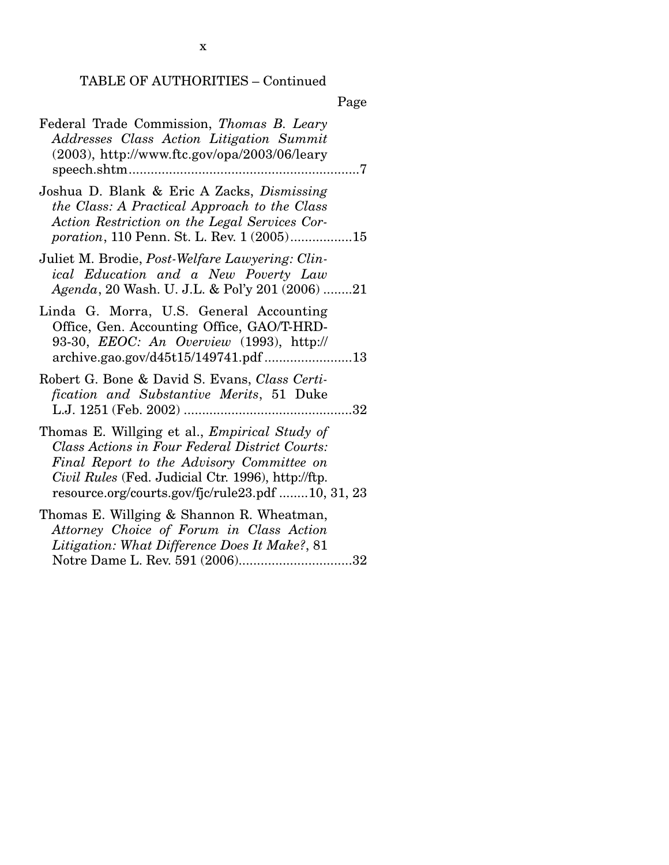|--|

| Federal Trade Commission, Thomas B. Leary<br>Addresses Class Action Litigation Summit<br>$(2003)$ , http://www.ftc.gov/opa/2003/06/leary                                                                                                                       |
|----------------------------------------------------------------------------------------------------------------------------------------------------------------------------------------------------------------------------------------------------------------|
| Joshua D. Blank & Eric A Zacks, Dismissing<br>the Class: A Practical Approach to the Class<br>Action Restriction on the Legal Services Cor-<br><i>poration</i> , 110 Penn. St. L. Rev. 1 (2005)15                                                              |
| Juliet M. Brodie, <i>Post-Welfare Lawyering: Clin-</i><br>ical Education and a New Poverty Law<br>Agenda, 20 Wash. U. J.L. & Pol'y 201 (2006) 21                                                                                                               |
| Linda G. Morra, U.S. General Accounting<br>Office, Gen. Accounting Office, GAO/T-HRD-<br>93-30, <i>EEOC</i> : An Overview (1993), http://<br>archive.gao.gov/d45t15/149741.pdf 13                                                                              |
| Robert G. Bone & David S. Evans, Class Certi-<br>fication and Substantive Merits, 51 Duke                                                                                                                                                                      |
| Thomas E. Willging et al., <i>Empirical Study of</i><br>Class Actions in Four Federal District Courts:<br>Final Report to the Advisory Committee on<br>Civil Rules (Fed. Judicial Ctr. 1996), http://ftp.<br>resource.org/courts.gov/fjc/rule23.pdf 10, 31, 23 |
| Thomas E. Willging & Shannon R. Wheatman,<br>Attorney Choice of Forum in Class Action<br>Litigation: What Difference Does It Make?, 81<br>Notre Dame L. Rev. 591 (2006)32                                                                                      |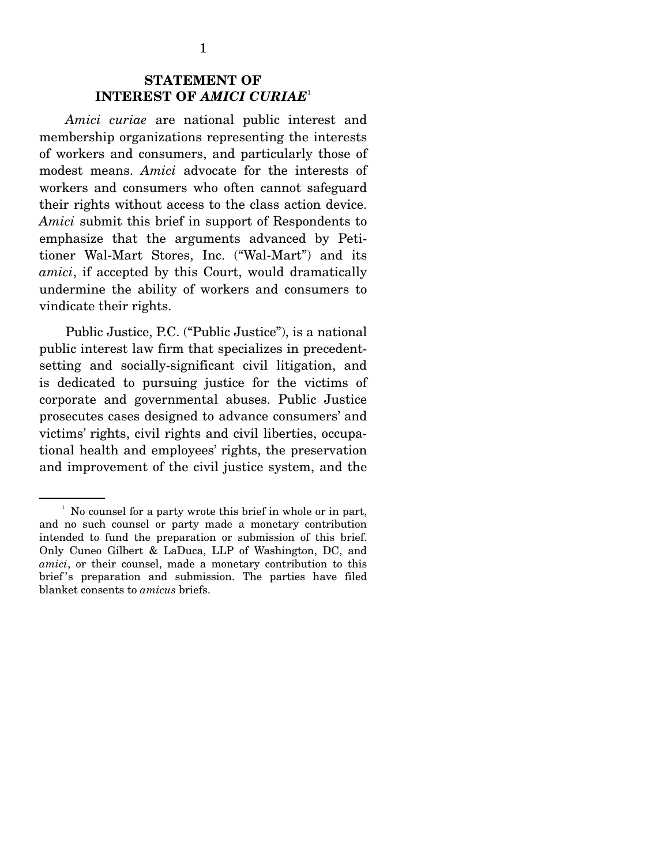*Amici curiae* are national public interest and membership organizations representing the interests of workers and consumers, and particularly those of modest means. *Amici* advocate for the interests of workers and consumers who often cannot safeguard their rights without access to the class action device. *Amici* submit this brief in support of Respondents to emphasize that the arguments advanced by Petitioner Wal-Mart Stores, Inc. ("Wal-Mart") and its *amici*, if accepted by this Court, would dramatically undermine the ability of workers and consumers to vindicate their rights.

 Public Justice, P.C. ("Public Justice"), is a national public interest law firm that specializes in precedentsetting and socially-significant civil litigation, and is dedicated to pursuing justice for the victims of corporate and governmental abuses. Public Justice prosecutes cases designed to advance consumers' and victims' rights, civil rights and civil liberties, occupational health and employees' rights, the preservation and improvement of the civil justice system, and the

<sup>&</sup>lt;sup>1</sup> No counsel for a party wrote this brief in whole or in part, and no such counsel or party made a monetary contribution intended to fund the preparation or submission of this brief. Only Cuneo Gilbert & LaDuca, LLP of Washington, DC, and *amici*, or their counsel, made a monetary contribution to this brief 's preparation and submission. The parties have filed blanket consents to *amicus* briefs.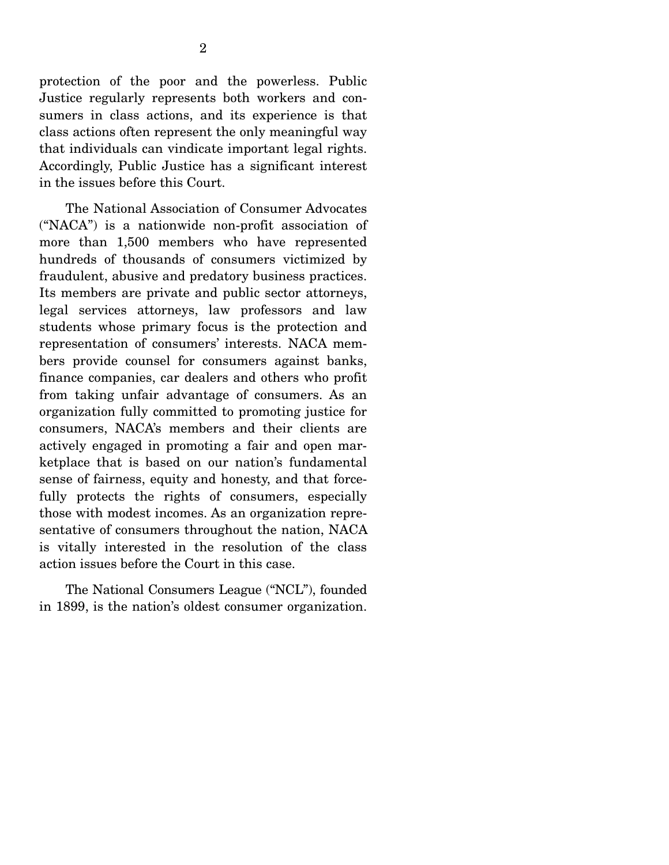protection of the poor and the powerless. Public Justice regularly represents both workers and consumers in class actions, and its experience is that class actions often represent the only meaningful way that individuals can vindicate important legal rights. Accordingly, Public Justice has a significant interest in the issues before this Court.

 The National Association of Consumer Advocates ("NACA") is a nationwide non-profit association of more than 1,500 members who have represented hundreds of thousands of consumers victimized by fraudulent, abusive and predatory business practices. Its members are private and public sector attorneys, legal services attorneys, law professors and law students whose primary focus is the protection and representation of consumers' interests. NACA members provide counsel for consumers against banks, finance companies, car dealers and others who profit from taking unfair advantage of consumers. As an organization fully committed to promoting justice for consumers, NACA's members and their clients are actively engaged in promoting a fair and open marketplace that is based on our nation's fundamental sense of fairness, equity and honesty, and that forcefully protects the rights of consumers, especially those with modest incomes. As an organization representative of consumers throughout the nation, NACA is vitally interested in the resolution of the class action issues before the Court in this case.

 The National Consumers League ("NCL"), founded in 1899, is the nation's oldest consumer organization.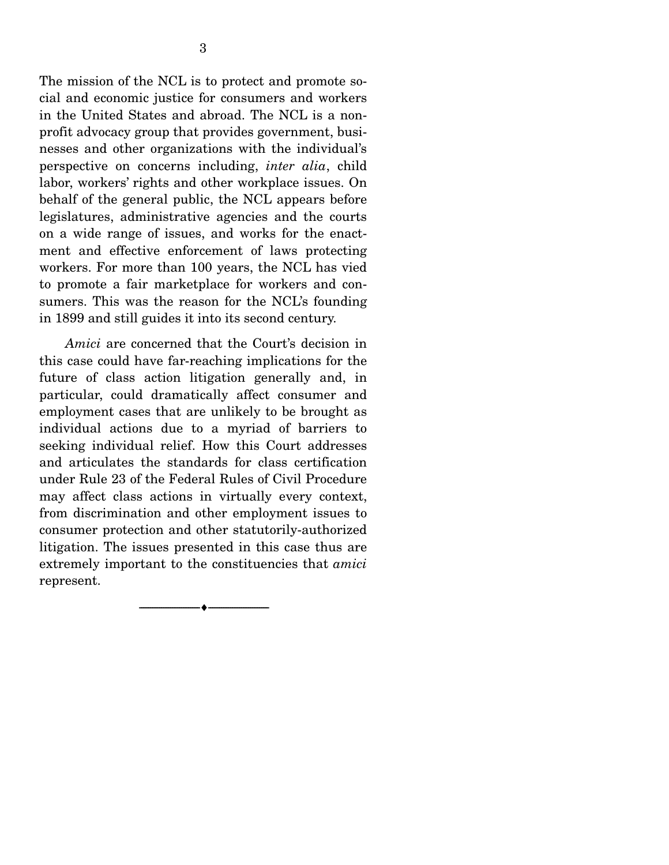The mission of the NCL is to protect and promote social and economic justice for consumers and workers in the United States and abroad. The NCL is a nonprofit advocacy group that provides government, businesses and other organizations with the individual's perspective on concerns including, *inter alia*, child labor, workers' rights and other workplace issues. On behalf of the general public, the NCL appears before legislatures, administrative agencies and the courts on a wide range of issues, and works for the enactment and effective enforcement of laws protecting workers. For more than 100 years, the NCL has vied to promote a fair marketplace for workers and consumers. This was the reason for the NCL's founding in 1899 and still guides it into its second century.

*Amici* are concerned that the Court's decision in this case could have far-reaching implications for the future of class action litigation generally and, in particular, could dramatically affect consumer and employment cases that are unlikely to be brought as individual actions due to a myriad of barriers to seeking individual relief. How this Court addresses and articulates the standards for class certification under Rule 23 of the Federal Rules of Civil Procedure may affect class actions in virtually every context, from discrimination and other employment issues to consumer protection and other statutorily-authorized litigation. The issues presented in this case thus are extremely important to the constituencies that *amici* represent.

--------------------------------- ♦ ---------------------------------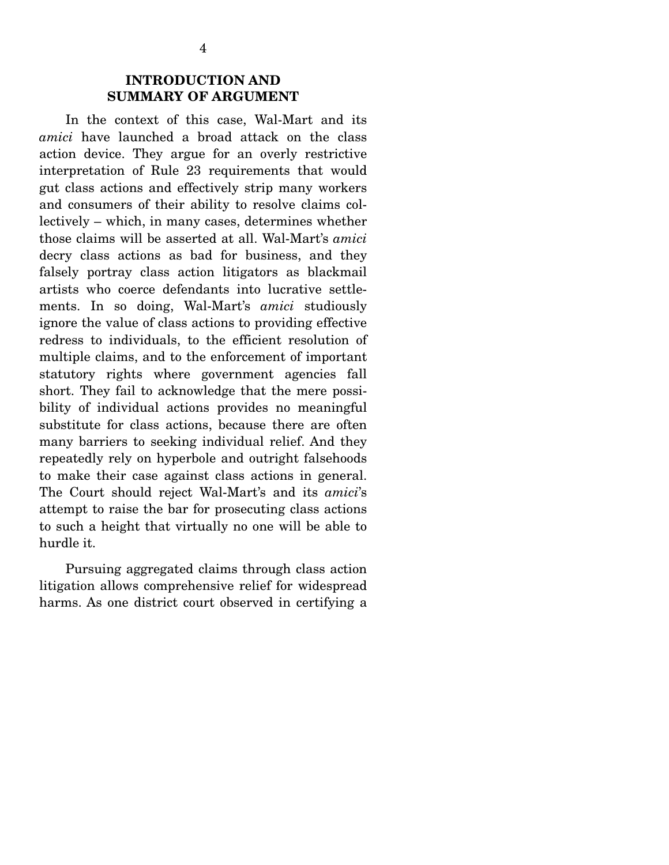### **INTRODUCTION AND SUMMARY OF ARGUMENT**

 In the context of this case, Wal-Mart and its *amici* have launched a broad attack on the class action device. They argue for an overly restrictive interpretation of Rule 23 requirements that would gut class actions and effectively strip many workers and consumers of their ability to resolve claims collectively – which, in many cases, determines whether those claims will be asserted at all. Wal-Mart's *amici* decry class actions as bad for business, and they falsely portray class action litigators as blackmail artists who coerce defendants into lucrative settlements. In so doing, Wal-Mart's *amici* studiously ignore the value of class actions to providing effective redress to individuals, to the efficient resolution of multiple claims, and to the enforcement of important statutory rights where government agencies fall short. They fail to acknowledge that the mere possibility of individual actions provides no meaningful substitute for class actions, because there are often many barriers to seeking individual relief. And they repeatedly rely on hyperbole and outright falsehoods to make their case against class actions in general. The Court should reject Wal-Mart's and its *amici*'s attempt to raise the bar for prosecuting class actions to such a height that virtually no one will be able to hurdle it.

 Pursuing aggregated claims through class action litigation allows comprehensive relief for widespread harms. As one district court observed in certifying a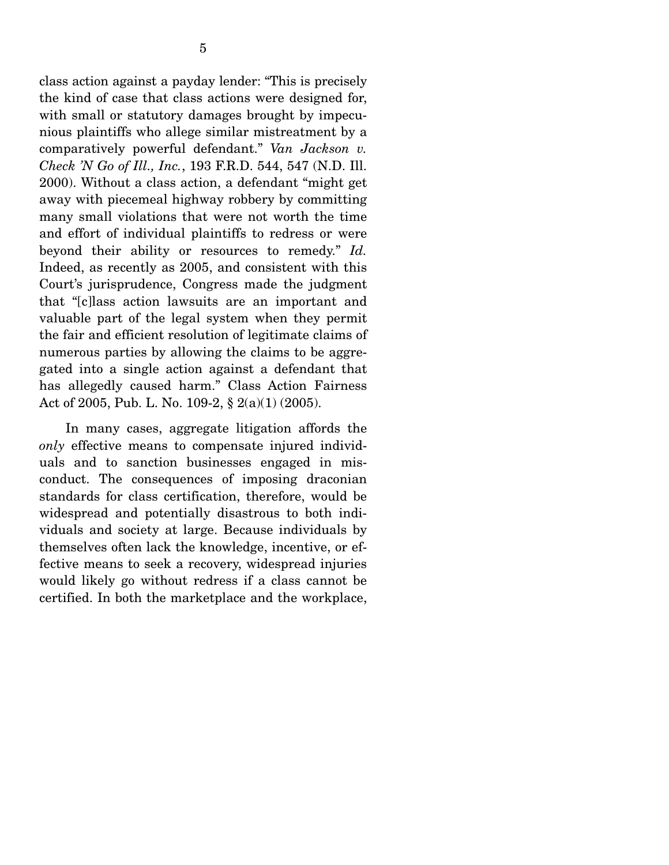class action against a payday lender: "This is precisely the kind of case that class actions were designed for, with small or statutory damages brought by impecunious plaintiffs who allege similar mistreatment by a comparatively powerful defendant." *Van Jackson v. Check 'N Go of Ill., Inc.*, 193 F.R.D. 544, 547 (N.D. Ill. 2000). Without a class action, a defendant "might get away with piecemeal highway robbery by committing many small violations that were not worth the time and effort of individual plaintiffs to redress or were beyond their ability or resources to remedy." *Id.*  Indeed, as recently as 2005, and consistent with this Court's jurisprudence, Congress made the judgment that "[c]lass action lawsuits are an important and valuable part of the legal system when they permit the fair and efficient resolution of legitimate claims of numerous parties by allowing the claims to be aggregated into a single action against a defendant that has allegedly caused harm." Class Action Fairness Act of 2005, Pub. L. No. 109-2, § 2(a)(1) (2005).

 In many cases, aggregate litigation affords the *only* effective means to compensate injured individuals and to sanction businesses engaged in misconduct. The consequences of imposing draconian standards for class certification, therefore, would be widespread and potentially disastrous to both individuals and society at large. Because individuals by themselves often lack the knowledge, incentive, or effective means to seek a recovery, widespread injuries would likely go without redress if a class cannot be certified. In both the marketplace and the workplace,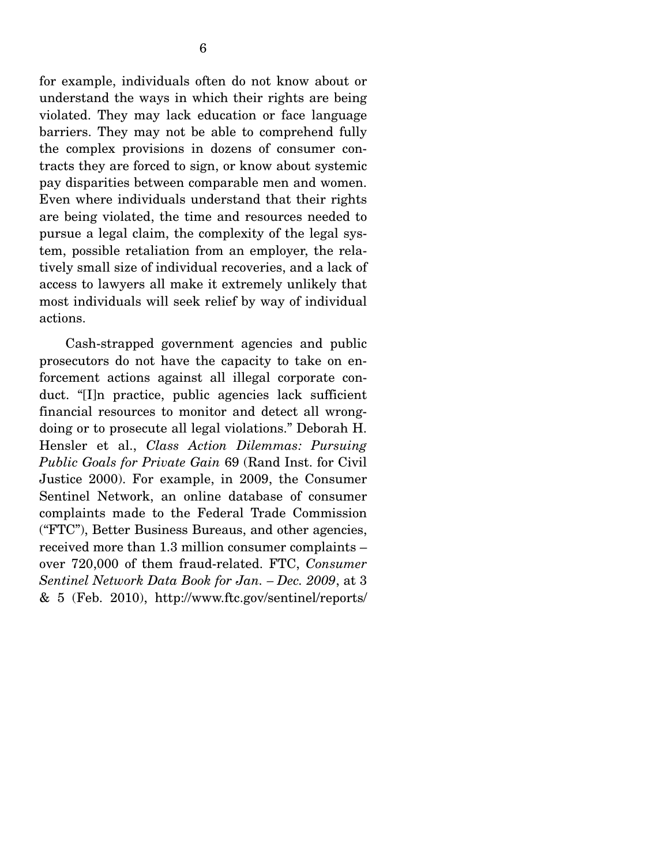for example, individuals often do not know about or understand the ways in which their rights are being violated. They may lack education or face language barriers. They may not be able to comprehend fully the complex provisions in dozens of consumer contracts they are forced to sign, or know about systemic pay disparities between comparable men and women. Even where individuals understand that their rights are being violated, the time and resources needed to pursue a legal claim, the complexity of the legal system, possible retaliation from an employer, the relatively small size of individual recoveries, and a lack of access to lawyers all make it extremely unlikely that most individuals will seek relief by way of individual actions.

 Cash-strapped government agencies and public prosecutors do not have the capacity to take on enforcement actions against all illegal corporate conduct. "[I]n practice, public agencies lack sufficient financial resources to monitor and detect all wrongdoing or to prosecute all legal violations." Deborah H. Hensler et al., *Class Action Dilemmas: Pursuing Public Goals for Private Gain* 69 (Rand Inst. for Civil Justice 2000). For example, in 2009, the Consumer Sentinel Network, an online database of consumer complaints made to the Federal Trade Commission ("FTC"), Better Business Bureaus, and other agencies, received more than 1.3 million consumer complaints – over 720,000 of them fraud-related. FTC, *Consumer Sentinel Network Data Book for Jan. – Dec. 2009*, at 3 & 5 (Feb. 2010), http://www.ftc.gov/sentinel/reports/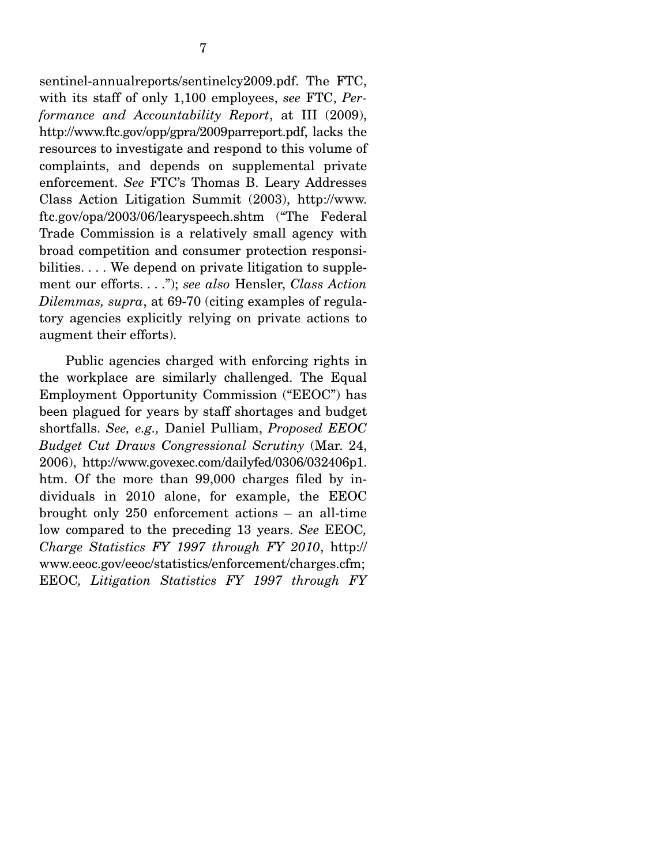sentinel-annualreports/sentinelcy2009.pdf. The FTC, with its staff of only 1,100 employees, *see* FTC, *Performance and Accountability Report*, at III (2009), http://www.ftc.gov/opp/gpra/2009parreport.pdf, lacks the resources to investigate and respond to this volume of complaints, and depends on supplemental private enforcement. *See* FTC's Thomas B. Leary Addresses Class Action Litigation Summit (2003), http://www. ftc.gov/opa/2003/06/learyspeech.shtm ("The Federal Trade Commission is a relatively small agency with broad competition and consumer protection responsibilities. . . . We depend on private litigation to supplement our efforts. . . ."); *see also* Hensler, *Class Action Dilemmas, supra*, at 69-70 (citing examples of regulatory agencies explicitly relying on private actions to augment their efforts).

 Public agencies charged with enforcing rights in the workplace are similarly challenged. The Equal Employment Opportunity Commission ("EEOC") has been plagued for years by staff shortages and budget shortfalls. *See, e.g.,* Daniel Pulliam, *Proposed EEOC Budget Cut Draws Congressional Scrutiny* (Mar. 24, 2006), http://www.govexec.com/dailyfed/0306/032406p1. htm. Of the more than 99,000 charges filed by individuals in 2010 alone, for example, the EEOC brought only 250 enforcement actions – an all-time low compared to the preceding 13 years. *See* EEOC*, Charge Statistics FY 1997 through FY 2010*, http:// www.eeoc.gov/eeoc/statistics/enforcement/charges.cfm; EEOC*, Litigation Statistics FY 1997 through FY*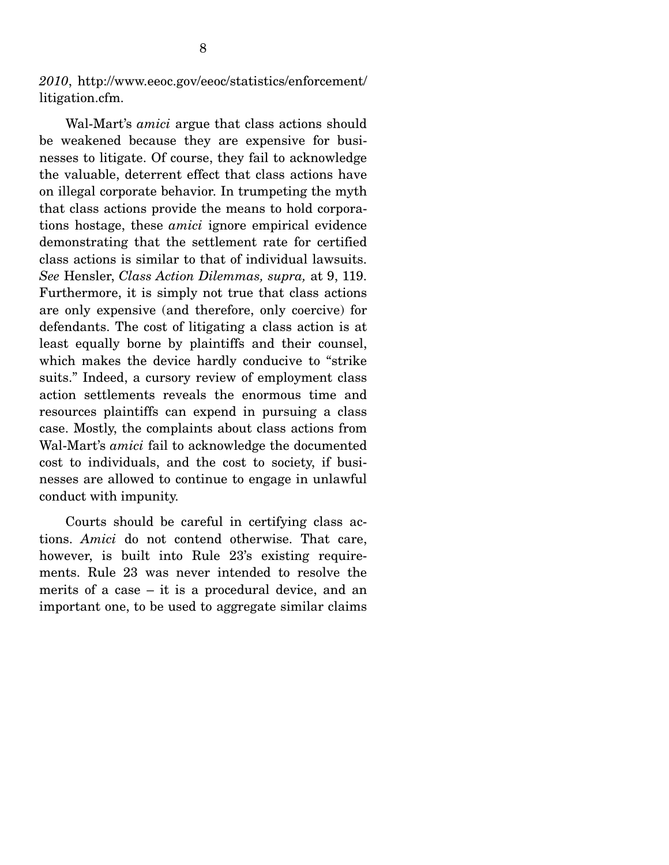*2010*, http://www.eeoc.gov/eeoc/statistics/enforcement/ litigation.cfm.

 Wal-Mart's *amici* argue that class actions should be weakened because they are expensive for businesses to litigate. Of course, they fail to acknowledge the valuable, deterrent effect that class actions have on illegal corporate behavior. In trumpeting the myth that class actions provide the means to hold corporations hostage, these *amici* ignore empirical evidence demonstrating that the settlement rate for certified class actions is similar to that of individual lawsuits. *See* Hensler, *Class Action Dilemmas, supra,* at 9, 119. Furthermore, it is simply not true that class actions are only expensive (and therefore, only coercive) for defendants. The cost of litigating a class action is at least equally borne by plaintiffs and their counsel, which makes the device hardly conducive to "strike suits." Indeed, a cursory review of employment class action settlements reveals the enormous time and resources plaintiffs can expend in pursuing a class case. Mostly, the complaints about class actions from Wal-Mart's *amici* fail to acknowledge the documented cost to individuals, and the cost to society, if businesses are allowed to continue to engage in unlawful conduct with impunity.

 Courts should be careful in certifying class actions. *Amici* do not contend otherwise. That care, however, is built into Rule 23's existing requirements. Rule 23 was never intended to resolve the merits of a case – it is a procedural device, and an important one, to be used to aggregate similar claims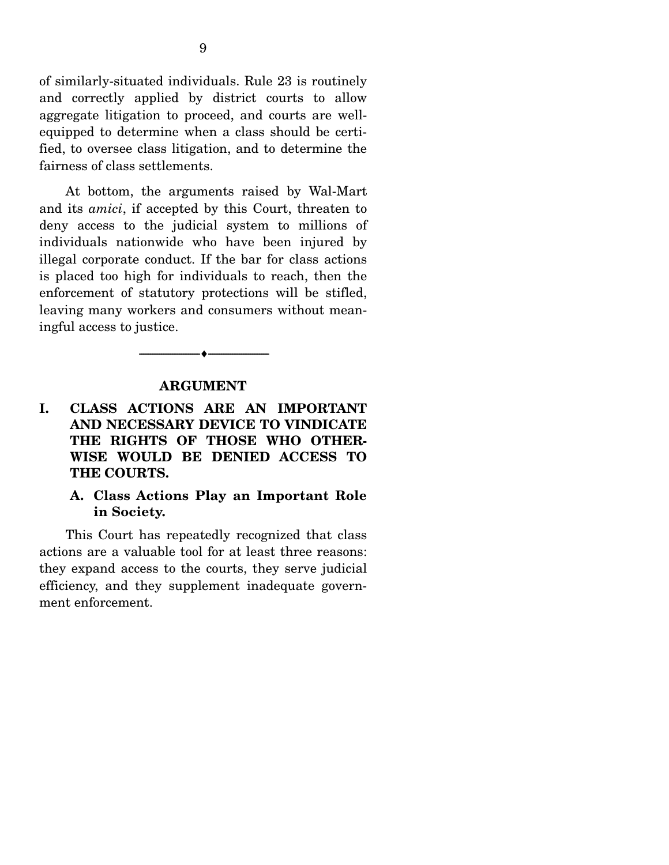of similarly-situated individuals. Rule 23 is routinely and correctly applied by district courts to allow aggregate litigation to proceed, and courts are wellequipped to determine when a class should be certified, to oversee class litigation, and to determine the fairness of class settlements.

 At bottom, the arguments raised by Wal-Mart and its *amici*, if accepted by this Court, threaten to deny access to the judicial system to millions of individuals nationwide who have been injured by illegal corporate conduct. If the bar for class actions is placed too high for individuals to reach, then the enforcement of statutory protections will be stifled, leaving many workers and consumers without meaningful access to justice.

#### **ARGUMENT**

--------------------------------- ♦ ---------------------------------

**I. CLASS ACTIONS ARE AN IMPORTANT AND NECESSARY DEVICE TO VINDICATE THE RIGHTS OF THOSE WHO OTHER-WISE WOULD BE DENIED ACCESS TO THE COURTS.** 

#### **A. Class Actions Play an Important Role in Society.**

 This Court has repeatedly recognized that class actions are a valuable tool for at least three reasons: they expand access to the courts, they serve judicial efficiency, and they supplement inadequate government enforcement.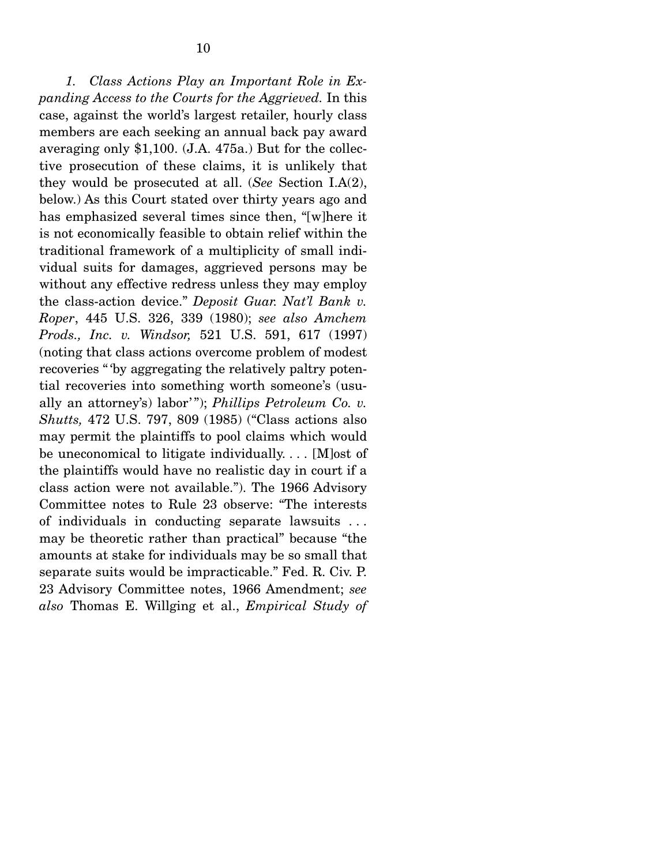*1. Class Actions Play an Important Role in Expanding Access to the Courts for the Aggrieved.* In this case, against the world's largest retailer, hourly class members are each seeking an annual back pay award averaging only \$1,100. (J.A. 475a.) But for the collective prosecution of these claims, it is unlikely that they would be prosecuted at all. (*See* Section I.A(2), below.) As this Court stated over thirty years ago and has emphasized several times since then, "[w]here it is not economically feasible to obtain relief within the traditional framework of a multiplicity of small individual suits for damages, aggrieved persons may be without any effective redress unless they may employ the class-action device." *Deposit Guar. Nat'l Bank v. Roper*, 445 U.S. 326, 339 (1980); *see also Amchem Prods., Inc. v. Windsor,* 521 U.S. 591, 617 (1997) (noting that class actions overcome problem of modest recoveries " 'by aggregating the relatively paltry potential recoveries into something worth someone's (usually an attorney's) labor' "); *Phillips Petroleum Co. v. Shutts,* 472 U.S. 797, 809 (1985) ("Class actions also may permit the plaintiffs to pool claims which would be uneconomical to litigate individually. . . . [M]ost of the plaintiffs would have no realistic day in court if a class action were not available."). The 1966 Advisory Committee notes to Rule 23 observe: "The interests of individuals in conducting separate lawsuits . . . may be theoretic rather than practical" because "the amounts at stake for individuals may be so small that separate suits would be impracticable." Fed. R. Civ. P. 23 Advisory Committee notes, 1966 Amendment; *see also* Thomas E. Willging et al., *Empirical Study of*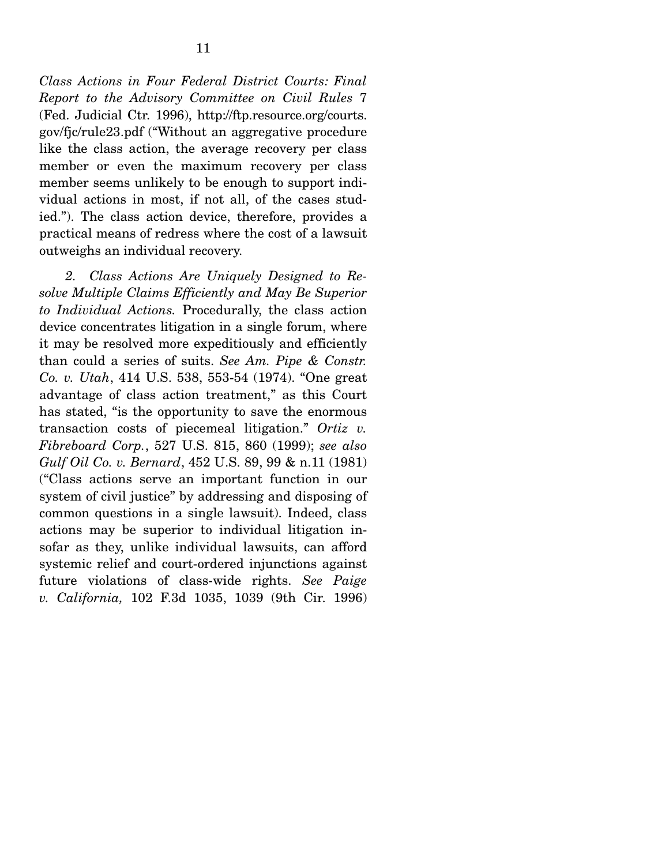*Class Actions in Four Federal District Courts: Final Report to the Advisory Committee on Civil Rules* 7 (Fed. Judicial Ctr. 1996), http://ftp.resource.org/courts. gov/fjc/rule23.pdf ("Without an aggregative procedure like the class action, the average recovery per class member or even the maximum recovery per class member seems unlikely to be enough to support individual actions in most, if not all, of the cases studied."). The class action device, therefore, provides a practical means of redress where the cost of a lawsuit outweighs an individual recovery.

*2. Class Actions Are Uniquely Designed to Resolve Multiple Claims Efficiently and May Be Superior to Individual Actions.* Procedurally, the class action device concentrates litigation in a single forum, where it may be resolved more expeditiously and efficiently than could a series of suits. *See Am. Pipe & Constr. Co. v. Utah*, 414 U.S. 538, 553-54 (1974). "One great advantage of class action treatment," as this Court has stated, "is the opportunity to save the enormous transaction costs of piecemeal litigation." *Ortiz v. Fibreboard Corp.*, 527 U.S. 815, 860 (1999); *see also Gulf Oil Co. v. Bernard*, 452 U.S. 89, 99 & n.11 (1981) ("Class actions serve an important function in our system of civil justice" by addressing and disposing of common questions in a single lawsuit). Indeed, class actions may be superior to individual litigation insofar as they, unlike individual lawsuits, can afford systemic relief and court-ordered injunctions against future violations of class-wide rights. *See Paige v. California,* 102 F.3d 1035, 1039 (9th Cir. 1996)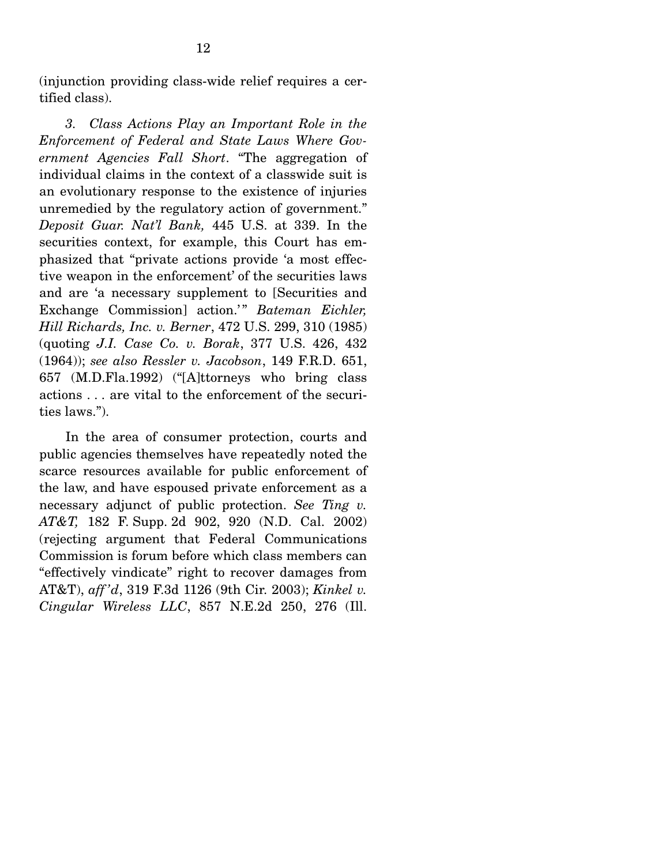(injunction providing class-wide relief requires a certified class).

*3. Class Actions Play an Important Role in the Enforcement of Federal and State Laws Where Government Agencies Fall Short*. "The aggregation of individual claims in the context of a classwide suit is an evolutionary response to the existence of injuries unremedied by the regulatory action of government." *Deposit Guar. Nat'l Bank,* 445 U.S. at 339. In the securities context, for example, this Court has emphasized that "private actions provide 'a most effective weapon in the enforcement' of the securities laws and are 'a necessary supplement to [Securities and Exchange Commission] action.'" Bateman Eichler, *Hill Richards, Inc. v. Berner*, 472 U.S. 299, 310 (1985) (quoting *J.I. Case Co. v. Borak*, 377 U.S. 426, 432 (1964)); *see also Ressler v. Jacobson*, 149 F.R.D. 651, 657 (M.D.Fla.1992) ("[A]ttorneys who bring class actions . . . are vital to the enforcement of the securities laws.").

 In the area of consumer protection, courts and public agencies themselves have repeatedly noted the scarce resources available for public enforcement of the law, and have espoused private enforcement as a necessary adjunct of public protection. *See Ting v. AT&T,* 182 F. Supp. 2d 902, 920 (N.D. Cal. 2002) (rejecting argument that Federal Communications Commission is forum before which class members can "effectively vindicate" right to recover damages from AT&T), *aff 'd*, 319 F.3d 1126 (9th Cir. 2003); *Kinkel v. Cingular Wireless LLC*, 857 N.E.2d 250, 276 (Ill.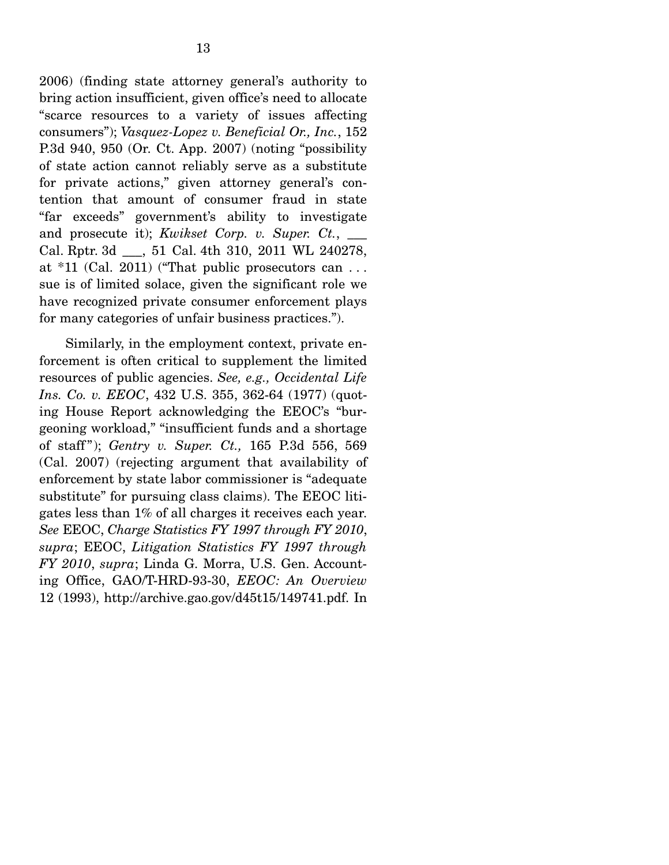2006) (finding state attorney general's authority to bring action insufficient, given office's need to allocate "scarce resources to a variety of issues affecting consumers"); *Vasquez-Lopez v. Beneficial Or., Inc.*, 152 P.3d 940, 950 (Or. Ct. App. 2007) (noting "possibility of state action cannot reliably serve as a substitute for private actions," given attorney general's contention that amount of consumer fraud in state "far exceeds" government's ability to investigate and prosecute it); *Kwikset Corp. v. Super. Ct.*, \_\_\_ Cal. Rptr. 3d \_\_\_, 51 Cal. 4th 310, 2011 WL 240278, at  $*11$  (Cal. 2011) ("That public prosecutors can ... sue is of limited solace, given the significant role we have recognized private consumer enforcement plays for many categories of unfair business practices.").

 Similarly, in the employment context, private enforcement is often critical to supplement the limited resources of public agencies. *See, e.g., Occidental Life Ins. Co. v. EEOC*, 432 U.S. 355, 362-64 (1977) (quoting House Report acknowledging the EEOC's "burgeoning workload," "insufficient funds and a shortage of staff "); *Gentry v. Super. Ct.,* 165 P.3d 556, 569 (Cal. 2007) (rejecting argument that availability of enforcement by state labor commissioner is "adequate substitute" for pursuing class claims). The EEOC litigates less than 1% of all charges it receives each year. *See* EEOC, *Charge Statistics FY 1997 through FY 2010*, *supra*; EEOC, *Litigation Statistics FY 1997 through FY 2010*, *supra*; Linda G. Morra, U.S. Gen. Accounting Office, GAO/T-HRD-93-30, *EEOC: An Overview* 12 (1993), http://archive.gao.gov/d45t15/149741.pdf. In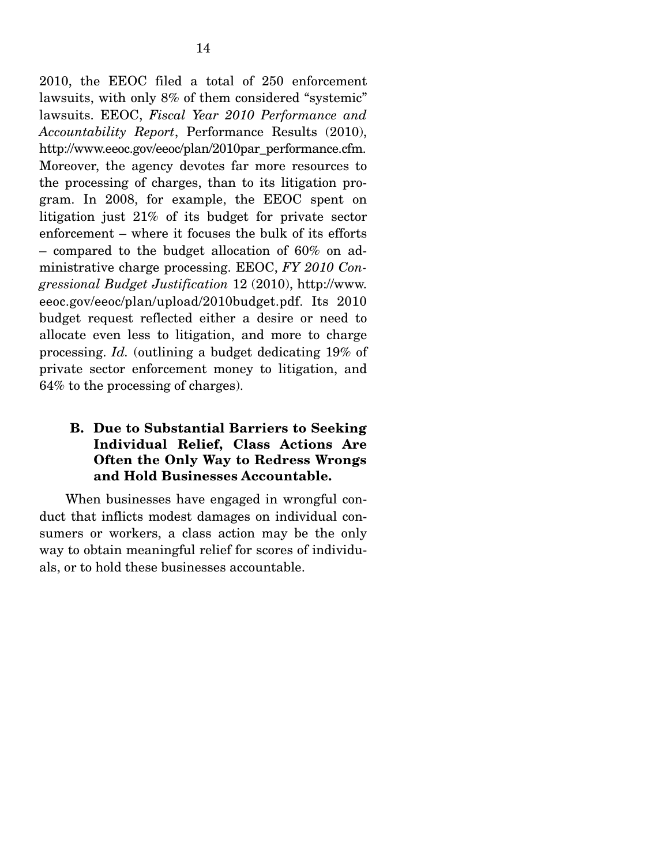2010, the EEOC filed a total of 250 enforcement lawsuits, with only 8% of them considered "systemic" lawsuits. EEOC, *Fiscal Year 2010 Performance and Accountability Report*, Performance Results (2010), http://www.eeoc.gov/eeoc/plan/2010par\_performance.cfm. Moreover, the agency devotes far more resources to the processing of charges, than to its litigation program. In 2008, for example, the EEOC spent on litigation just 21% of its budget for private sector enforcement – where it focuses the bulk of its efforts – compared to the budget allocation of 60% on administrative charge processing. EEOC, *FY 2010 Congressional Budget Justification* 12 (2010), http://www. eeoc.gov/eeoc/plan/upload/2010budget.pdf. Its 2010 budget request reflected either a desire or need to allocate even less to litigation, and more to charge processing. *Id.* (outlining a budget dedicating 19% of private sector enforcement money to litigation, and 64% to the processing of charges).

### **B. Due to Substantial Barriers to Seeking Individual Relief, Class Actions Are Often the Only Way to Redress Wrongs and Hold Businesses Accountable.**

 When businesses have engaged in wrongful conduct that inflicts modest damages on individual consumers or workers, a class action may be the only way to obtain meaningful relief for scores of individuals, or to hold these businesses accountable.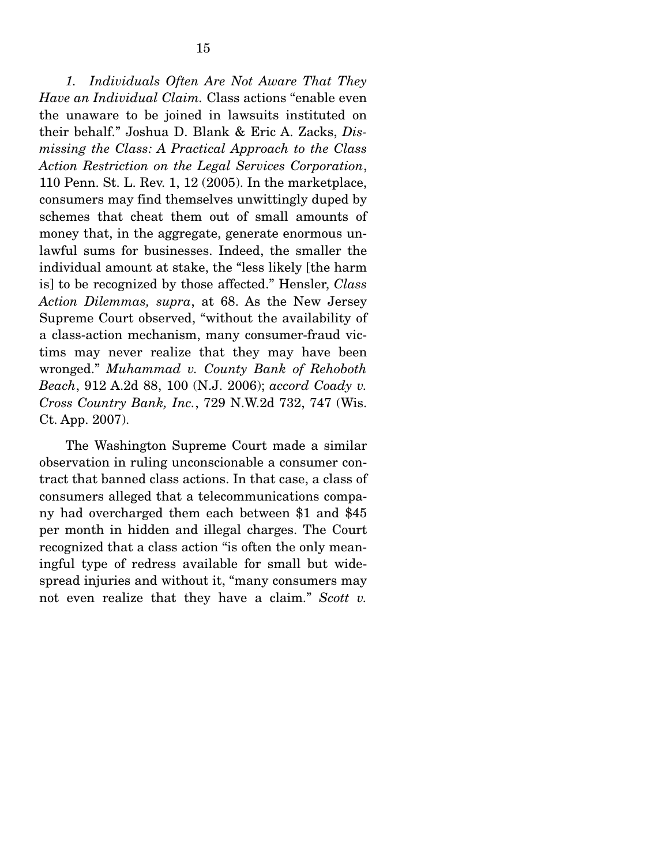*1. Individuals Often Are Not Aware That They Have an Individual Claim.* Class actions "enable even the unaware to be joined in lawsuits instituted on their behalf." Joshua D. Blank & Eric A. Zacks, *Dismissing the Class: A Practical Approach to the Class Action Restriction on the Legal Services Corporation*, 110 Penn. St. L. Rev. 1, 12 (2005). In the marketplace, consumers may find themselves unwittingly duped by schemes that cheat them out of small amounts of money that, in the aggregate, generate enormous unlawful sums for businesses. Indeed, the smaller the individual amount at stake, the "less likely [the harm is] to be recognized by those affected." Hensler, *Class Action Dilemmas, supra*, at 68. As the New Jersey Supreme Court observed, "without the availability of a class-action mechanism, many consumer-fraud victims may never realize that they may have been wronged." *Muhammad v. County Bank of Rehoboth Beach*, 912 A.2d 88, 100 (N.J. 2006); *accord Coady v. Cross Country Bank, Inc.*, 729 N.W.2d 732, 747 (Wis. Ct. App. 2007).

 The Washington Supreme Court made a similar observation in ruling unconscionable a consumer contract that banned class actions. In that case, a class of consumers alleged that a telecommunications company had overcharged them each between \$1 and \$45 per month in hidden and illegal charges. The Court recognized that a class action "is often the only meaningful type of redress available for small but widespread injuries and without it, "many consumers may not even realize that they have a claim." *Scott v.*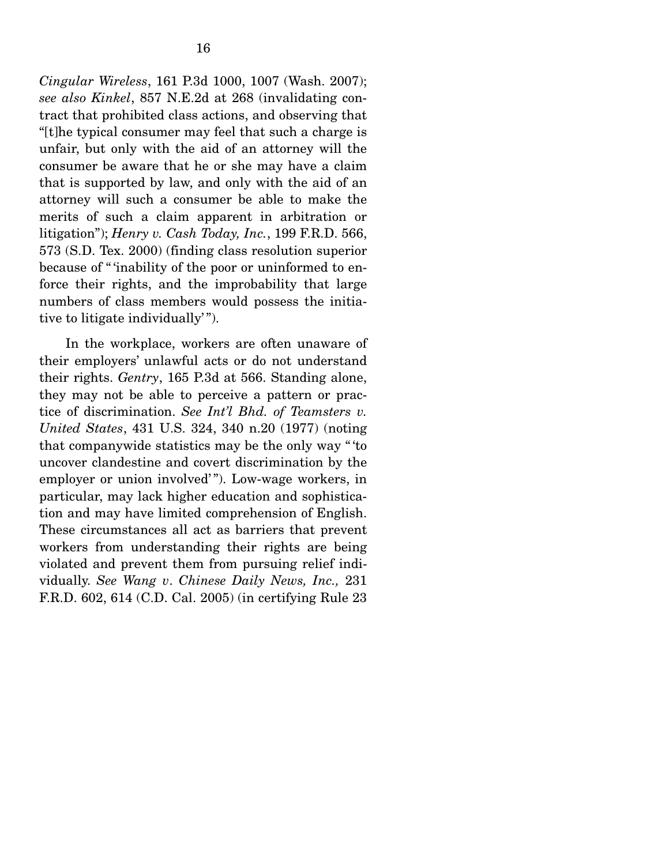*Cingular Wireless*, 161 P.3d 1000, 1007 (Wash. 2007); *see also Kinkel*, 857 N.E.2d at 268 (invalidating contract that prohibited class actions, and observing that "[t]he typical consumer may feel that such a charge is unfair, but only with the aid of an attorney will the consumer be aware that he or she may have a claim that is supported by law, and only with the aid of an attorney will such a consumer be able to make the merits of such a claim apparent in arbitration or litigation"); *Henry v. Cash Today, Inc.*, 199 F.R.D. 566, 573 (S.D. Tex. 2000) (finding class resolution superior because of " 'inability of the poor or uninformed to enforce their rights, and the improbability that large numbers of class members would possess the initiative to litigate individually'".

 In the workplace, workers are often unaware of their employers' unlawful acts or do not understand their rights. *Gentry*, 165 P.3d at 566. Standing alone, they may not be able to perceive a pattern or practice of discrimination. *See Int'l Bhd. of Teamsters v. United States*, 431 U.S. 324, 340 n.20 (1977) (noting that companywide statistics may be the only way " 'to uncover clandestine and covert discrimination by the employer or union involved' "). Low-wage workers, in particular, may lack higher education and sophistication and may have limited comprehension of English. These circumstances all act as barriers that prevent workers from understanding their rights are being violated and prevent them from pursuing relief individually. *See Wang v*. *Chinese Daily News, Inc.,* 231 F.R.D. 602, 614 (C.D. Cal. 2005) (in certifying Rule 23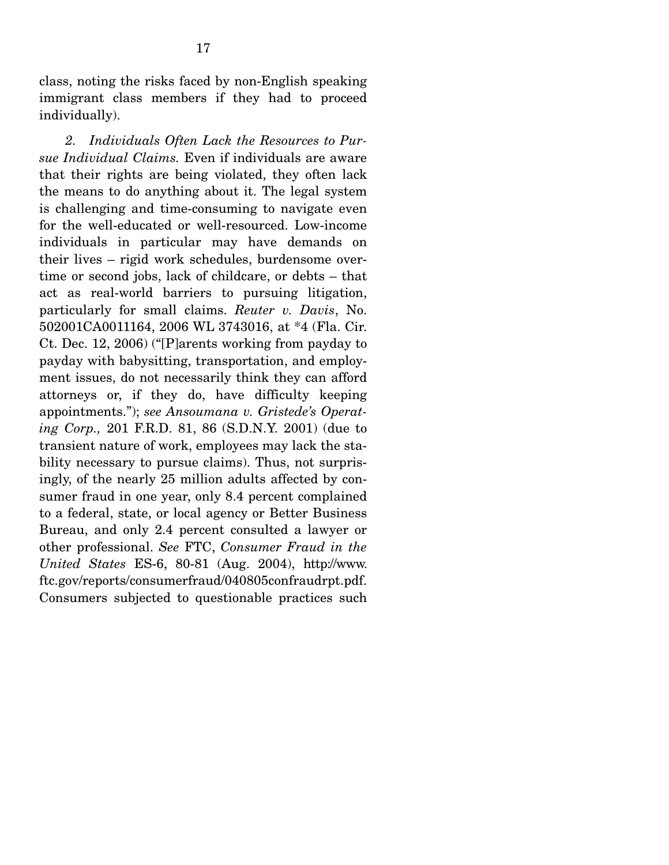class, noting the risks faced by non-English speaking immigrant class members if they had to proceed individually).

*2. Individuals Often Lack the Resources to Pursue Individual Claims.* Even if individuals are aware that their rights are being violated, they often lack the means to do anything about it. The legal system is challenging and time-consuming to navigate even for the well-educated or well-resourced. Low-income individuals in particular may have demands on their lives – rigid work schedules, burdensome overtime or second jobs, lack of childcare, or debts – that act as real-world barriers to pursuing litigation, particularly for small claims. *Reuter v. Davis*, No. 502001CA0011164, 2006 WL 3743016, at \*4 (Fla. Cir. Ct. Dec. 12, 2006) ("[P]arents working from payday to payday with babysitting, transportation, and employment issues, do not necessarily think they can afford attorneys or, if they do, have difficulty keeping appointments."); *see Ansoumana v. Gristede's Operating Corp.,* 201 F.R.D. 81, 86 (S.D.N.Y. 2001) (due to transient nature of work, employees may lack the stability necessary to pursue claims). Thus, not surprisingly, of the nearly 25 million adults affected by consumer fraud in one year, only 8.4 percent complained to a federal, state, or local agency or Better Business Bureau, and only 2.4 percent consulted a lawyer or other professional. *See* FTC, *Consumer Fraud in the United States* ES-6, 80-81 (Aug. 2004), http://www. ftc.gov/reports/consumerfraud/040805confraudrpt.pdf. Consumers subjected to questionable practices such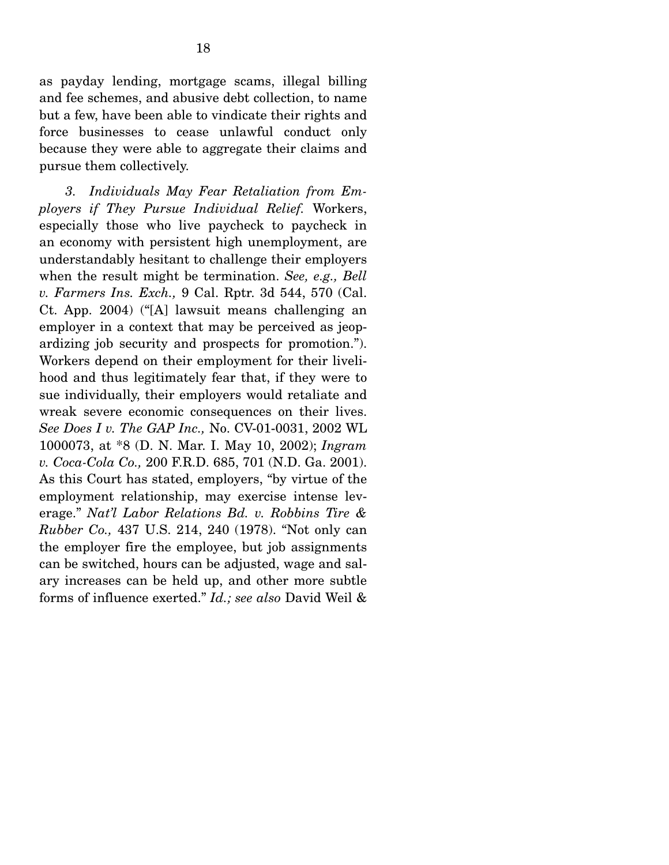as payday lending, mortgage scams, illegal billing and fee schemes, and abusive debt collection, to name but a few, have been able to vindicate their rights and force businesses to cease unlawful conduct only because they were able to aggregate their claims and pursue them collectively.

*3. Individuals May Fear Retaliation from Employers if They Pursue Individual Relief.* Workers, especially those who live paycheck to paycheck in an economy with persistent high unemployment, are understandably hesitant to challenge their employers when the result might be termination. *See, e.g., Bell v. Farmers Ins. Exch.,* 9 Cal. Rptr. 3d 544, 570 (Cal. Ct. App. 2004) ("[A] lawsuit means challenging an employer in a context that may be perceived as jeopardizing job security and prospects for promotion."). Workers depend on their employment for their livelihood and thus legitimately fear that, if they were to sue individually, their employers would retaliate and wreak severe economic consequences on their lives. *See Does I v. The GAP Inc.,* No. CV-01-0031, 2002 WL 1000073, at \*8 (D. N. Mar. I. May 10, 2002); *Ingram v. Coca-Cola Co.,* 200 F.R.D. 685, 701 (N.D. Ga. 2001). As this Court has stated, employers, "by virtue of the employment relationship, may exercise intense leverage." *Nat'l Labor Relations Bd. v. Robbins Tire & Rubber Co.,* 437 U.S. 214, 240 (1978). "Not only can the employer fire the employee, but job assignments can be switched, hours can be adjusted, wage and salary increases can be held up, and other more subtle forms of influence exerted." *Id.; see also* David Weil &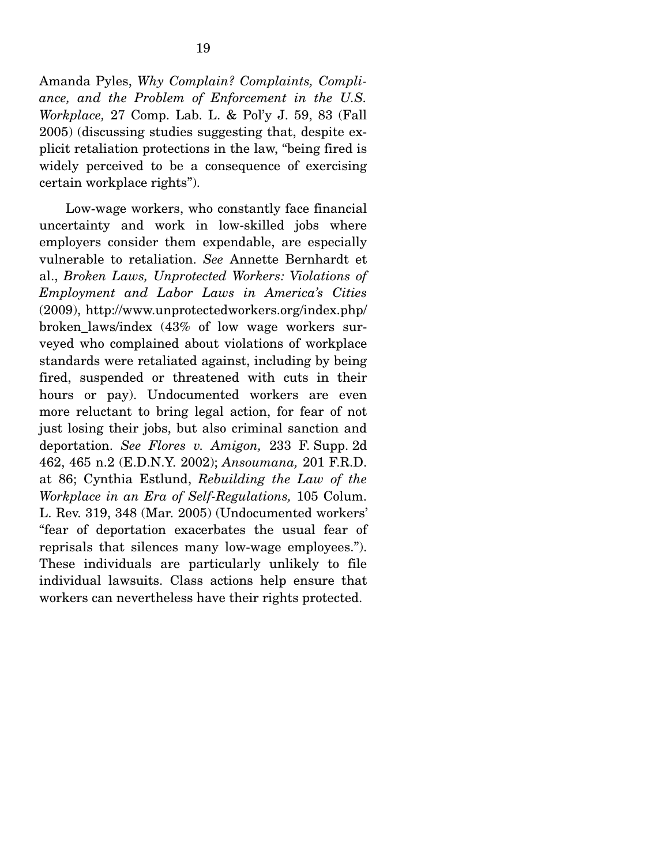Amanda Pyles, *Why Complain? Complaints, Compliance, and the Problem of Enforcement in the U.S. Workplace,* 27 Comp. Lab. L. & Pol'y J. 59, 83 (Fall 2005) (discussing studies suggesting that, despite explicit retaliation protections in the law, "being fired is widely perceived to be a consequence of exercising certain workplace rights").

 Low-wage workers, who constantly face financial uncertainty and work in low-skilled jobs where employers consider them expendable, are especially vulnerable to retaliation. *See* Annette Bernhardt et al., *Broken Laws, Unprotected Workers: Violations of Employment and Labor Laws in America's Cities*  (2009), http://www.unprotectedworkers.org/index.php/ broken\_laws/index (43% of low wage workers surveyed who complained about violations of workplace standards were retaliated against, including by being fired, suspended or threatened with cuts in their hours or pay). Undocumented workers are even more reluctant to bring legal action, for fear of not just losing their jobs, but also criminal sanction and deportation. *See Flores v. Amigon,* 233 F. Supp. 2d 462, 465 n.2 (E.D.N.Y. 2002); *Ansoumana,* 201 F.R.D. at 86; Cynthia Estlund, *Rebuilding the Law of the Workplace in an Era of Self-Regulations,* 105 Colum. L. Rev. 319, 348 (Mar. 2005) (Undocumented workers' "fear of deportation exacerbates the usual fear of reprisals that silences many low-wage employees."). These individuals are particularly unlikely to file individual lawsuits. Class actions help ensure that workers can nevertheless have their rights protected.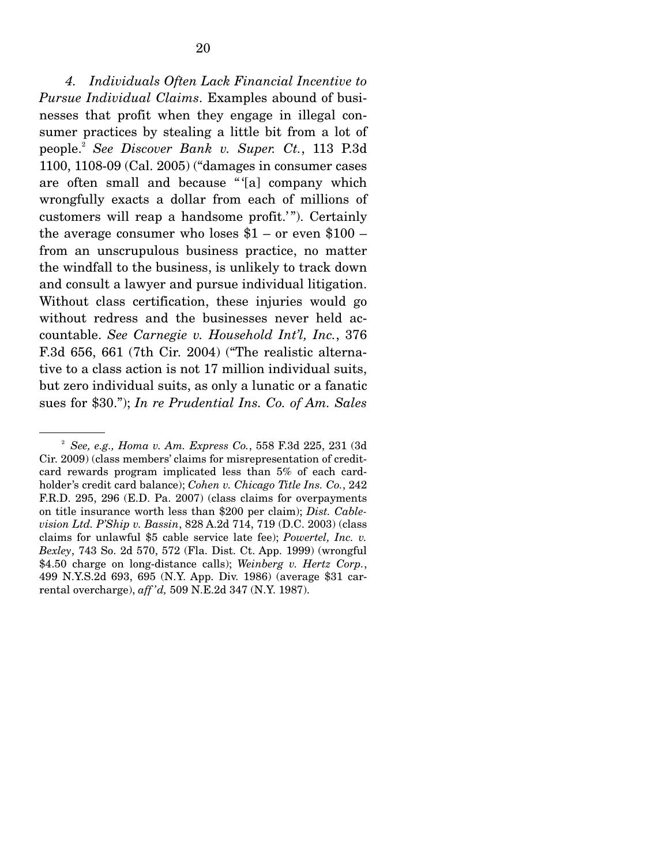*4. Individuals Often Lack Financial Incentive to Pursue Individual Claims*. Examples abound of businesses that profit when they engage in illegal consumer practices by stealing a little bit from a lot of people.2 *See Discover Bank v. Super. Ct.*, 113 P.3d 1100, 1108-09 (Cal. 2005) ("damages in consumer cases are often small and because " '[a] company which wrongfully exacts a dollar from each of millions of customers will reap a handsome profit.'"). Certainly the average consumer who loses  $$1 - or even $100$ from an unscrupulous business practice, no matter the windfall to the business, is unlikely to track down and consult a lawyer and pursue individual litigation. Without class certification, these injuries would go without redress and the businesses never held accountable. *See Carnegie v. Household Int'l, Inc.*, 376 F.3d 656, 661 (7th Cir. 2004) ("The realistic alternative to a class action is not 17 million individual suits, but zero individual suits, as only a lunatic or a fanatic sues for \$30."); *In re Prudential Ins. Co. of Am. Sales* 

<sup>2</sup> *See, e.g., Homa v. Am. Express Co.*, 558 F.3d 225, 231 (3d Cir. 2009) (class members' claims for misrepresentation of creditcard rewards program implicated less than 5% of each cardholder's credit card balance); *Cohen v. Chicago Title Ins. Co.*, 242 F.R.D. 295, 296 (E.D. Pa. 2007) (class claims for overpayments on title insurance worth less than \$200 per claim); *Dist. Cablevision Ltd. P'Ship v. Bassin*, 828 A.2d 714, 719 (D.C. 2003) (class claims for unlawful \$5 cable service late fee); *Powertel, Inc. v. Bexley*, 743 So. 2d 570, 572 (Fla. Dist. Ct. App. 1999) (wrongful \$4.50 charge on long-distance calls); *Weinberg v. Hertz Corp.*, 499 N.Y.S.2d 693, 695 (N.Y. App. Div. 1986) (average \$31 carrental overcharge), *aff 'd,* 509 N.E.2d 347 (N.Y. 1987).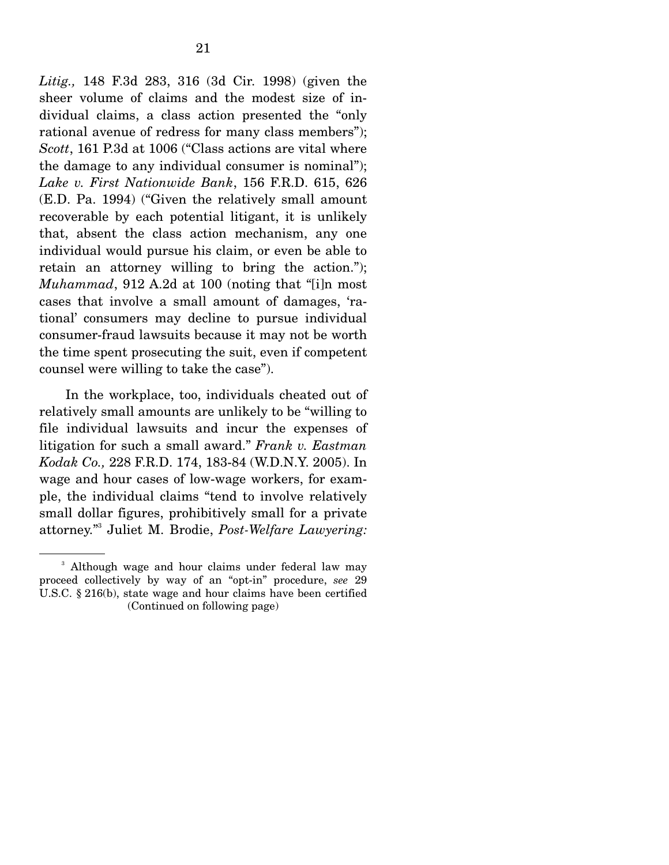*Litig.,* 148 F.3d 283, 316 (3d Cir. 1998) (given the sheer volume of claims and the modest size of individual claims, a class action presented the "only rational avenue of redress for many class members"); *Scott*, 161 P.3d at 1006 ("Class actions are vital where the damage to any individual consumer is nominal"); *Lake v. First Nationwide Bank*, 156 F.R.D. 615, 626 (E.D. Pa. 1994) ("Given the relatively small amount recoverable by each potential litigant, it is unlikely that, absent the class action mechanism, any one individual would pursue his claim, or even be able to retain an attorney willing to bring the action."); *Muhammad*, 912 A.2d at 100 (noting that "[i]n most cases that involve a small amount of damages, 'rational' consumers may decline to pursue individual consumer-fraud lawsuits because it may not be worth the time spent prosecuting the suit, even if competent counsel were willing to take the case").

 In the workplace, too, individuals cheated out of relatively small amounts are unlikely to be "willing to file individual lawsuits and incur the expenses of litigation for such a small award." *Frank v. Eastman Kodak Co.,* 228 F.R.D. 174, 183-84 (W.D.N.Y. 2005). In wage and hour cases of low-wage workers, for example, the individual claims "tend to involve relatively small dollar figures, prohibitively small for a private attorney."3 Juliet M. Brodie, *Post-Welfare Lawyering:* 

<sup>&</sup>lt;sup>3</sup> Although wage and hour claims under federal law may proceed collectively by way of an "opt-in" procedure, *see* 29 U.S.C. § 216(b), state wage and hour claims have been certified (Continued on following page)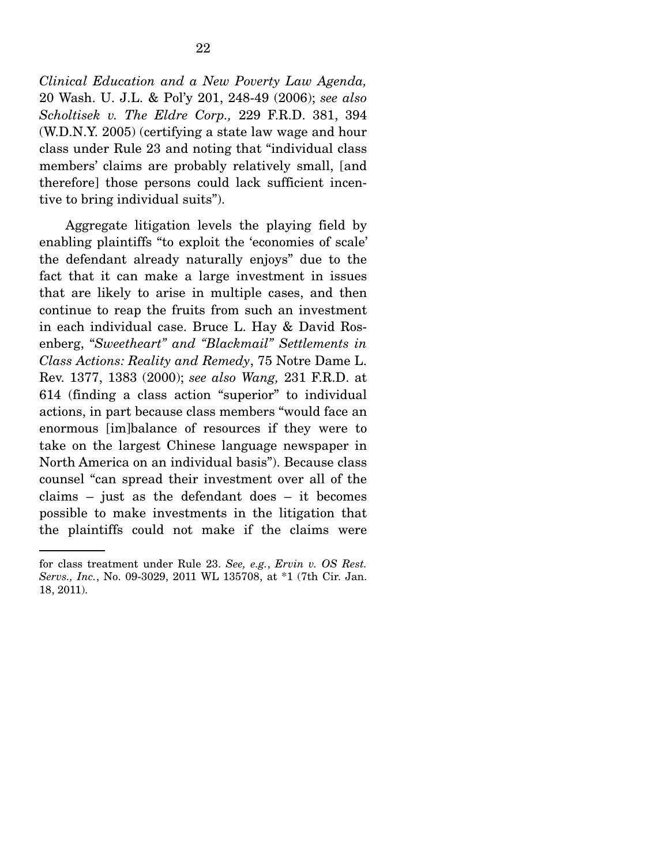*Clinical Education and a New Poverty Law Agenda,*  20 Wash. U. J.L. & Pol'y 201, 248-49 (2006); *see also Scholtisek v. The Eldre Corp.,* 229 F.R.D. 381, 394 (W.D.N.Y. 2005) (certifying a state law wage and hour class under Rule 23 and noting that "individual class members' claims are probably relatively small, [and therefore] those persons could lack sufficient incentive to bring individual suits").

 Aggregate litigation levels the playing field by enabling plaintiffs "to exploit the 'economies of scale' the defendant already naturally enjoys" due to the fact that it can make a large investment in issues that are likely to arise in multiple cases, and then continue to reap the fruits from such an investment in each individual case. Bruce L. Hay & David Rosenberg, "*Sweetheart" and "Blackmail" Settlements in Class Actions: Reality and Remedy*, 75 Notre Dame L. Rev. 1377, 1383 (2000); *see also Wang,* 231 F.R.D. at 614 (finding a class action "superior" to individual actions, in part because class members "would face an enormous [im]balance of resources if they were to take on the largest Chinese language newspaper in North America on an individual basis"). Because class counsel "can spread their investment over all of the claims – just as the defendant does – it becomes possible to make investments in the litigation that the plaintiffs could not make if the claims were

for class treatment under Rule 23. *See, e.g.*, *Ervin v. OS Rest. Servs., Inc.*, No. 09-3029, 2011 WL 135708, at \*1 (7th Cir. Jan. 18, 2011).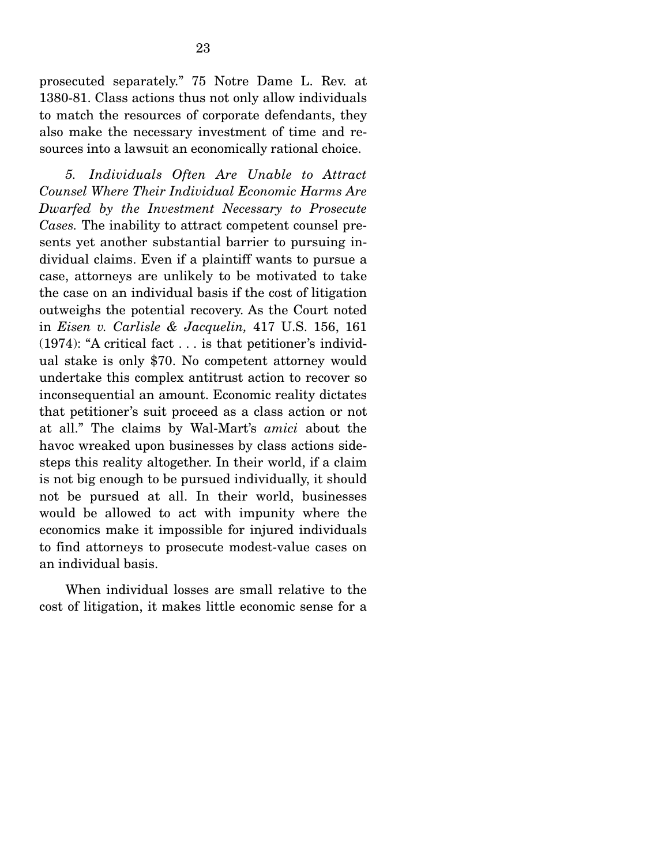prosecuted separately." 75 Notre Dame L. Rev. at 1380-81. Class actions thus not only allow individuals to match the resources of corporate defendants, they also make the necessary investment of time and resources into a lawsuit an economically rational choice.

*5. Individuals Often Are Unable to Attract Counsel Where Their Individual Economic Harms Are Dwarfed by the Investment Necessary to Prosecute Cases.* The inability to attract competent counsel presents yet another substantial barrier to pursuing individual claims. Even if a plaintiff wants to pursue a case, attorneys are unlikely to be motivated to take the case on an individual basis if the cost of litigation outweighs the potential recovery. As the Court noted in *Eisen v. Carlisle & Jacquelin,* 417 U.S. 156, 161 (1974): "A critical fact . . . is that petitioner's individual stake is only \$70. No competent attorney would undertake this complex antitrust action to recover so inconsequential an amount. Economic reality dictates that petitioner's suit proceed as a class action or not at all." The claims by Wal-Mart's *amici* about the havoc wreaked upon businesses by class actions sidesteps this reality altogether. In their world, if a claim is not big enough to be pursued individually, it should not be pursued at all. In their world, businesses would be allowed to act with impunity where the economics make it impossible for injured individuals to find attorneys to prosecute modest-value cases on an individual basis.

 When individual losses are small relative to the cost of litigation, it makes little economic sense for a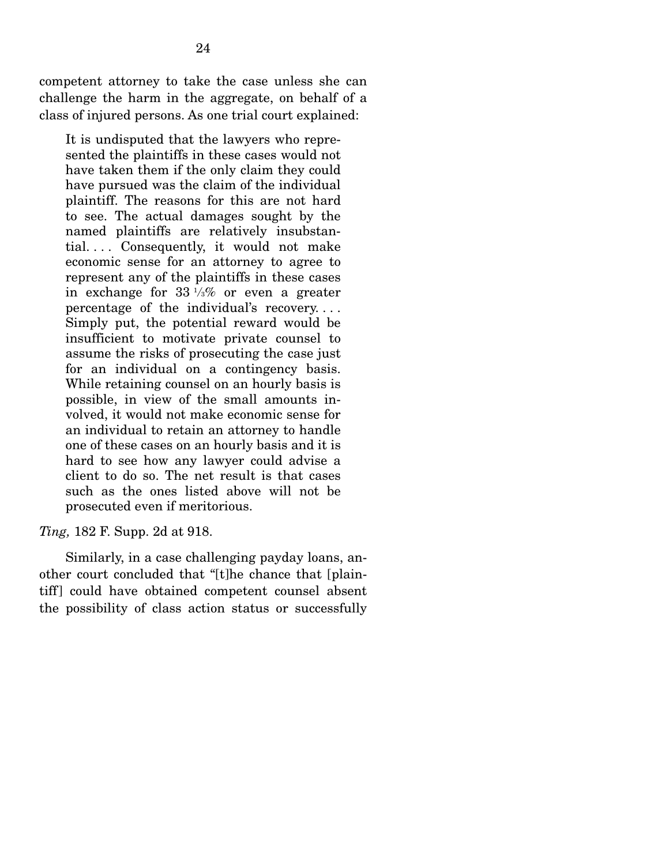competent attorney to take the case unless she can challenge the harm in the aggregate, on behalf of a class of injured persons. As one trial court explained:

It is undisputed that the lawyers who represented the plaintiffs in these cases would not have taken them if the only claim they could have pursued was the claim of the individual plaintiff. The reasons for this are not hard to see. The actual damages sought by the named plaintiffs are relatively insubstantial. . . . Consequently, it would not make economic sense for an attorney to agree to represent any of the plaintiffs in these cases in exchange for 33 1 */*3% or even a greater percentage of the individual's recovery. . . . Simply put, the potential reward would be insufficient to motivate private counsel to assume the risks of prosecuting the case just for an individual on a contingency basis. While retaining counsel on an hourly basis is possible, in view of the small amounts involved, it would not make economic sense for an individual to retain an attorney to handle one of these cases on an hourly basis and it is hard to see how any lawyer could advise a client to do so. The net result is that cases such as the ones listed above will not be prosecuted even if meritorious.

#### *Ting,* 182 F. Supp. 2d at 918.

 Similarly, in a case challenging payday loans, another court concluded that "[t]he chance that [plaintiff] could have obtained competent counsel absent the possibility of class action status or successfully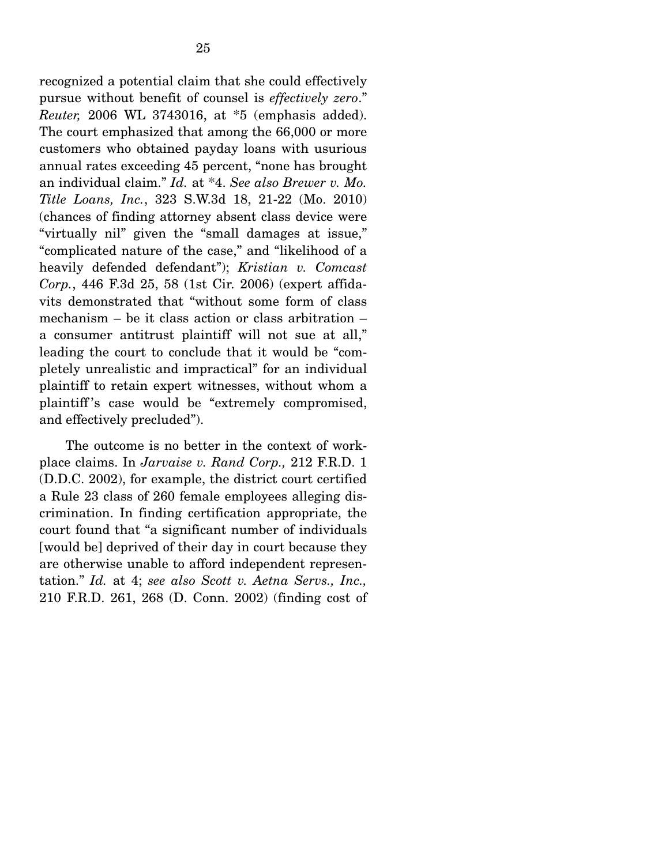recognized a potential claim that she could effectively pursue without benefit of counsel is *effectively zero*." *Reuter,* 2006 WL 3743016, at \*5 (emphasis added). The court emphasized that among the 66,000 or more customers who obtained payday loans with usurious annual rates exceeding 45 percent, "none has brought an individual claim." *Id.* at \*4. *See also Brewer v. Mo. Title Loans, Inc.*, 323 S.W.3d 18, 21-22 (Mo. 2010) (chances of finding attorney absent class device were "virtually nil" given the "small damages at issue," "complicated nature of the case," and "likelihood of a heavily defended defendant"); *Kristian v. Comcast Corp.*, 446 F.3d 25, 58 (1st Cir. 2006) (expert affidavits demonstrated that "without some form of class mechanism – be it class action or class arbitration – a consumer antitrust plaintiff will not sue at all," leading the court to conclude that it would be "completely unrealistic and impractical" for an individual plaintiff to retain expert witnesses, without whom a plaintiff 's case would be "extremely compromised, and effectively precluded").

 The outcome is no better in the context of workplace claims. In *Jarvaise v. Rand Corp.,* 212 F.R.D. 1 (D.D.C. 2002), for example, the district court certified a Rule 23 class of 260 female employees alleging discrimination. In finding certification appropriate, the court found that "a significant number of individuals [would be] deprived of their day in court because they are otherwise unable to afford independent representation." *Id.* at 4; *see also Scott v. Aetna Servs., Inc.,*  210 F.R.D. 261, 268 (D. Conn. 2002) (finding cost of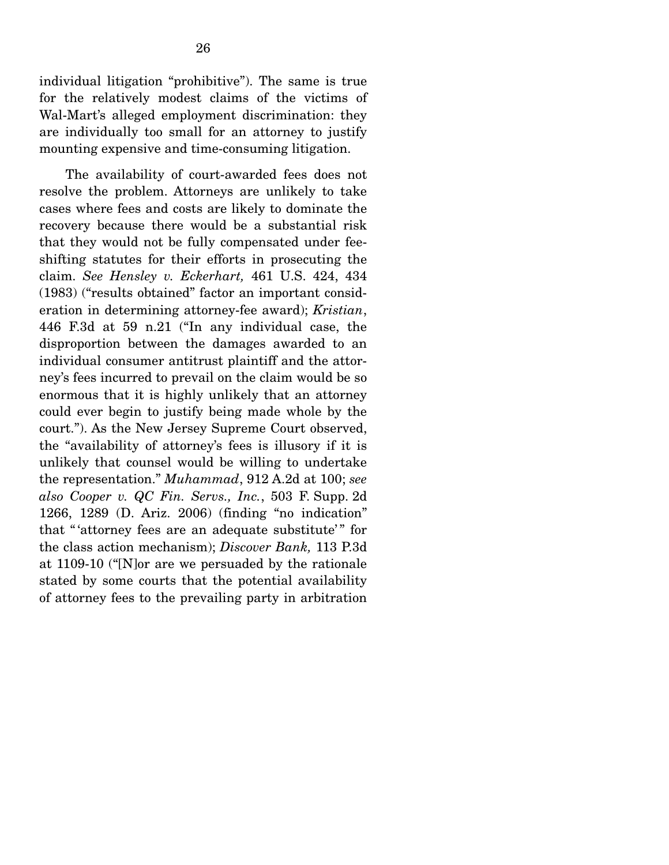individual litigation "prohibitive"). The same is true for the relatively modest claims of the victims of Wal-Mart's alleged employment discrimination: they are individually too small for an attorney to justify mounting expensive and time-consuming litigation.

 The availability of court-awarded fees does not resolve the problem. Attorneys are unlikely to take cases where fees and costs are likely to dominate the recovery because there would be a substantial risk that they would not be fully compensated under feeshifting statutes for their efforts in prosecuting the claim. *See Hensley v. Eckerhart,* 461 U.S. 424, 434 (1983) ("results obtained" factor an important consideration in determining attorney-fee award); *Kristian*, 446 F.3d at 59 n.21 ("In any individual case, the disproportion between the damages awarded to an individual consumer antitrust plaintiff and the attorney's fees incurred to prevail on the claim would be so enormous that it is highly unlikely that an attorney could ever begin to justify being made whole by the court."). As the New Jersey Supreme Court observed, the "availability of attorney's fees is illusory if it is unlikely that counsel would be willing to undertake the representation." *Muhammad*, 912 A.2d at 100; *see also Cooper v. QC Fin. Servs., Inc.*, 503 F. Supp. 2d 1266, 1289 (D. Ariz. 2006) (finding "no indication" that " attorney fees are an adequate substitute'" for the class action mechanism); *Discover Bank,* 113 P.3d at 1109-10 ("[N]or are we persuaded by the rationale stated by some courts that the potential availability of attorney fees to the prevailing party in arbitration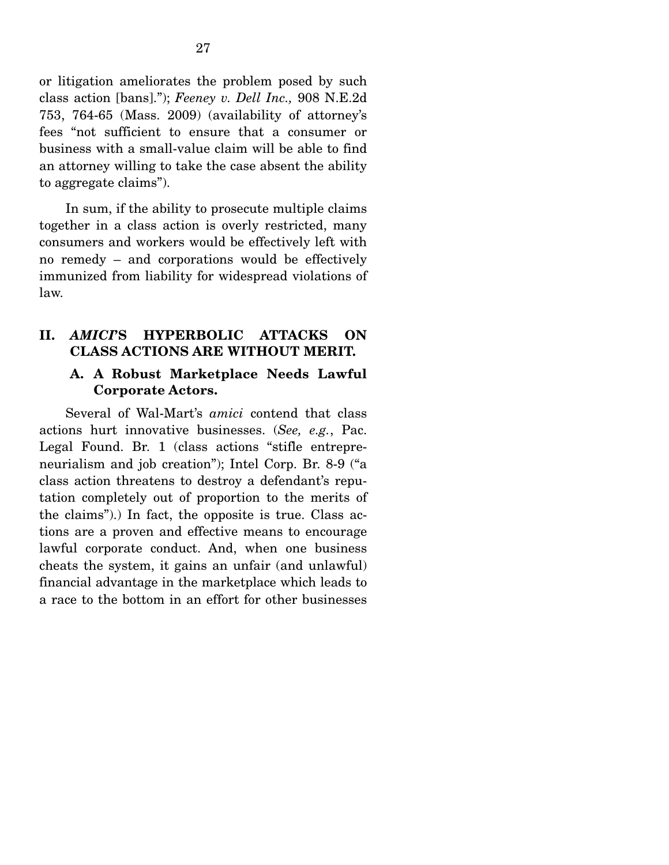or litigation ameliorates the problem posed by such class action [bans]."); *Feeney v. Dell Inc.,* 908 N.E.2d 753, 764-65 (Mass. 2009) (availability of attorney's fees "not sufficient to ensure that a consumer or business with a small-value claim will be able to find an attorney willing to take the case absent the ability to aggregate claims").

 In sum, if the ability to prosecute multiple claims together in a class action is overly restricted, many consumers and workers would be effectively left with no remedy – and corporations would be effectively immunized from liability for widespread violations of law.

#### **II.** *AMICI***'S HYPERBOLIC ATTACKS ON CLASS ACTIONS ARE WITHOUT MERIT.**

### **A. A Robust Marketplace Needs Lawful Corporate Actors.**

 Several of Wal-Mart's *amici* contend that class actions hurt innovative businesses. (*See, e.g.*, Pac. Legal Found. Br. 1 (class actions "stifle entrepreneurialism and job creation"); Intel Corp. Br. 8-9 ("a class action threatens to destroy a defendant's reputation completely out of proportion to the merits of the claims").) In fact, the opposite is true. Class actions are a proven and effective means to encourage lawful corporate conduct. And, when one business cheats the system, it gains an unfair (and unlawful) financial advantage in the marketplace which leads to a race to the bottom in an effort for other businesses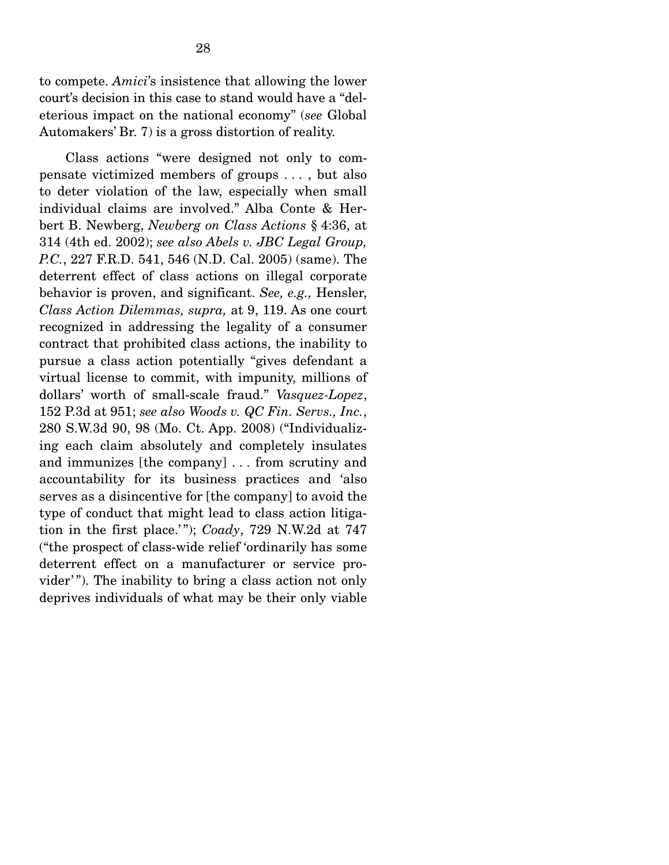to compete. *Amici*'s insistence that allowing the lower court's decision in this case to stand would have a "deleterious impact on the national economy" (*see* Global Automakers' Br. 7) is a gross distortion of reality.

 Class actions "were designed not only to compensate victimized members of groups . . . , but also to deter violation of the law, especially when small individual claims are involved." Alba Conte & Herbert B. Newberg, *Newberg on Class Actions* § 4:36, at 314 (4th ed. 2002); *see also Abels v. JBC Legal Group, P.C.*, 227 F.R.D. 541, 546 (N.D. Cal. 2005) (same). The deterrent effect of class actions on illegal corporate behavior is proven, and significant. *See, e.g.,* Hensler, *Class Action Dilemmas, supra,* at 9, 119. As one court recognized in addressing the legality of a consumer contract that prohibited class actions, the inability to pursue a class action potentially "gives defendant a virtual license to commit, with impunity, millions of dollars' worth of small-scale fraud." *Vasquez-Lopez*, 152 P.3d at 951; *see also Woods v. QC Fin. Servs., Inc.*, 280 S.W.3d 90, 98 (Mo. Ct. App. 2008) ("Individualizing each claim absolutely and completely insulates and immunizes [the company] . . . from scrutiny and accountability for its business practices and 'also serves as a disincentive for [the company] to avoid the type of conduct that might lead to class action litigation in the first place.' "); *Coady*, 729 N.W.2d at 747 ("the prospect of class-wide relief 'ordinarily has some deterrent effect on a manufacturer or service provider'"). The inability to bring a class action not only deprives individuals of what may be their only viable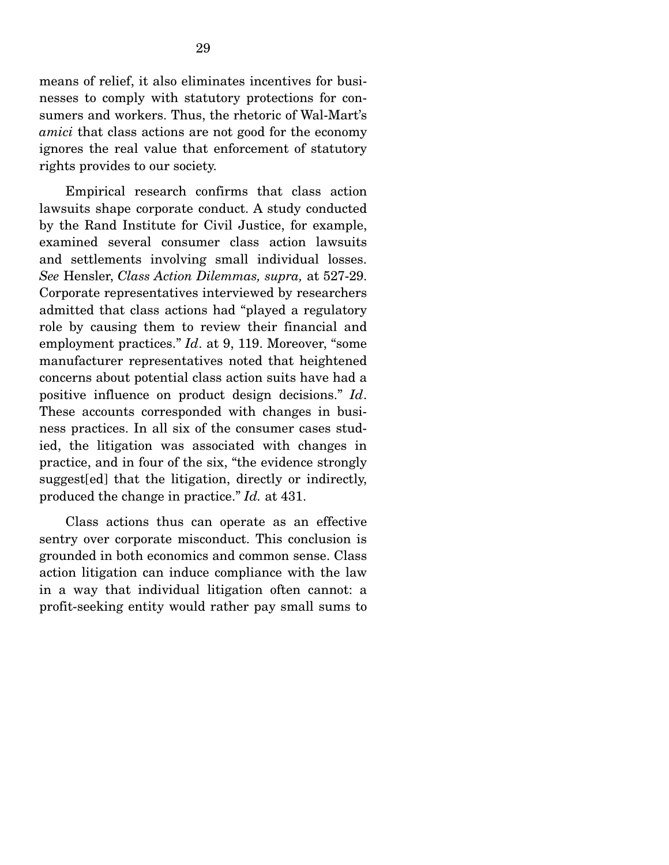means of relief, it also eliminates incentives for businesses to comply with statutory protections for consumers and workers. Thus, the rhetoric of Wal-Mart's *amici* that class actions are not good for the economy ignores the real value that enforcement of statutory rights provides to our society.

 Empirical research confirms that class action lawsuits shape corporate conduct. A study conducted by the Rand Institute for Civil Justice, for example, examined several consumer class action lawsuits and settlements involving small individual losses. *See* Hensler, *Class Action Dilemmas, supra,* at 527-29. Corporate representatives interviewed by researchers admitted that class actions had "played a regulatory role by causing them to review their financial and employment practices." *Id*. at 9, 119. Moreover, "some manufacturer representatives noted that heightened concerns about potential class action suits have had a positive influence on product design decisions." *Id*. These accounts corresponded with changes in business practices. In all six of the consumer cases studied, the litigation was associated with changes in practice, and in four of the six, "the evidence strongly suggest[ed] that the litigation, directly or indirectly, produced the change in practice." *Id.* at 431.

 Class actions thus can operate as an effective sentry over corporate misconduct. This conclusion is grounded in both economics and common sense. Class action litigation can induce compliance with the law in a way that individual litigation often cannot: a profit-seeking entity would rather pay small sums to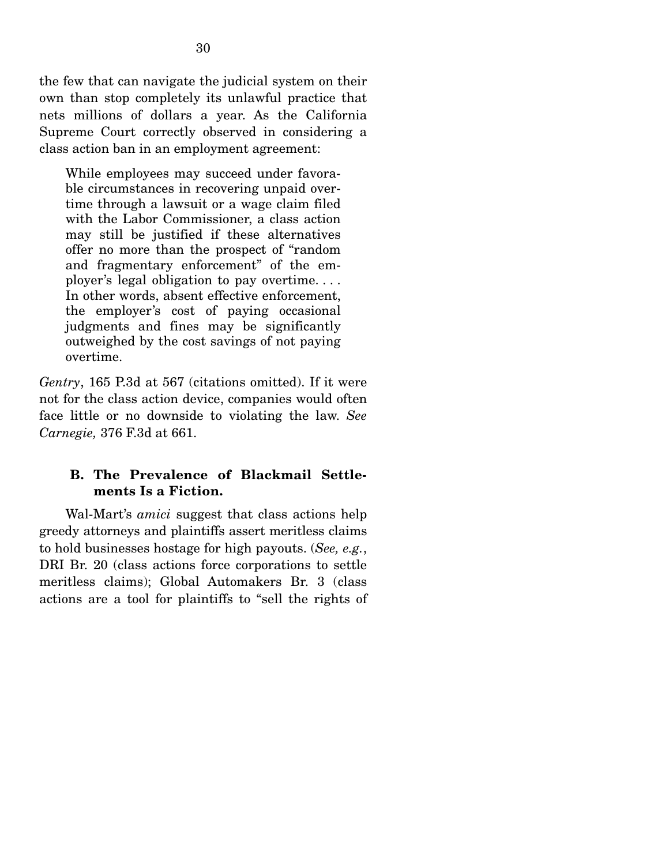the few that can navigate the judicial system on their own than stop completely its unlawful practice that nets millions of dollars a year. As the California Supreme Court correctly observed in considering a class action ban in an employment agreement:

While employees may succeed under favorable circumstances in recovering unpaid overtime through a lawsuit or a wage claim filed with the Labor Commissioner, a class action may still be justified if these alternatives offer no more than the prospect of "random and fragmentary enforcement" of the employer's legal obligation to pay overtime. . . . In other words, absent effective enforcement, the employer's cost of paying occasional judgments and fines may be significantly outweighed by the cost savings of not paying overtime.

*Gentry*, 165 P.3d at 567 (citations omitted). If it were not for the class action device, companies would often face little or no downside to violating the law. *See Carnegie,* 376 F.3d at 661.

### **B. The Prevalence of Blackmail Settlements Is a Fiction.**

 Wal-Mart's *amici* suggest that class actions help greedy attorneys and plaintiffs assert meritless claims to hold businesses hostage for high payouts. (*See, e.g.*, DRI Br. 20 (class actions force corporations to settle meritless claims); Global Automakers Br. 3 (class actions are a tool for plaintiffs to "sell the rights of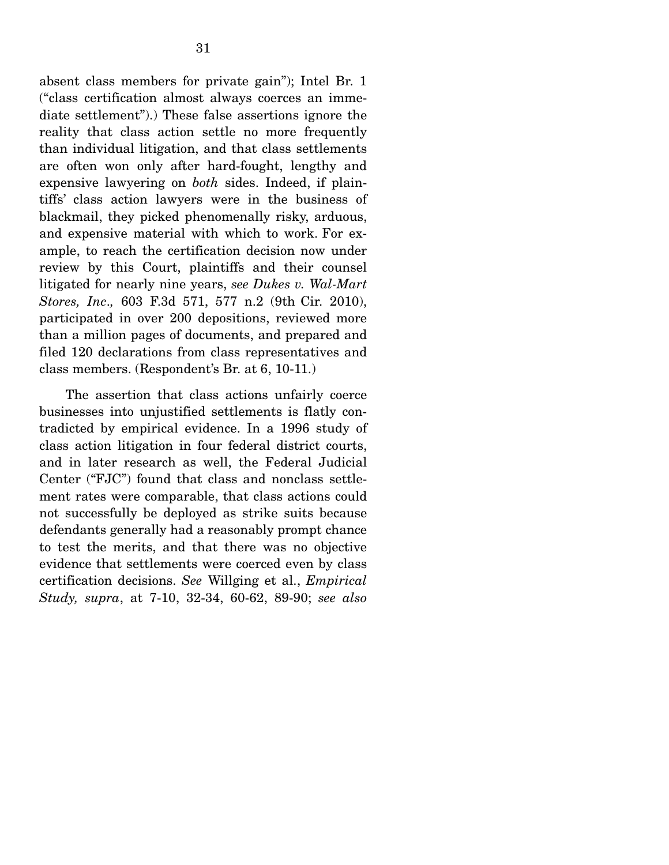absent class members for private gain"); Intel Br. 1 ("class certification almost always coerces an immediate settlement").) These false assertions ignore the reality that class action settle no more frequently than individual litigation, and that class settlements are often won only after hard-fought, lengthy and expensive lawyering on *both* sides. Indeed, if plaintiffs' class action lawyers were in the business of blackmail, they picked phenomenally risky, arduous, and expensive material with which to work. For example, to reach the certification decision now under review by this Court, plaintiffs and their counsel litigated for nearly nine years, *see Dukes v. Wal-Mart Stores, Inc*.*,* 603 F.3d 571, 577 n.2 (9th Cir. 2010), participated in over 200 depositions, reviewed more than a million pages of documents, and prepared and filed 120 declarations from class representatives and class members. (Respondent's Br. at 6, 10-11.)

 The assertion that class actions unfairly coerce businesses into unjustified settlements is flatly contradicted by empirical evidence. In a 1996 study of class action litigation in four federal district courts, and in later research as well, the Federal Judicial Center ("FJC") found that class and nonclass settlement rates were comparable, that class actions could not successfully be deployed as strike suits because defendants generally had a reasonably prompt chance to test the merits, and that there was no objective evidence that settlements were coerced even by class certification decisions. *See* Willging et al., *Empirical Study, supra*, at 7-10, 32-34, 60-62, 89-90; *see also*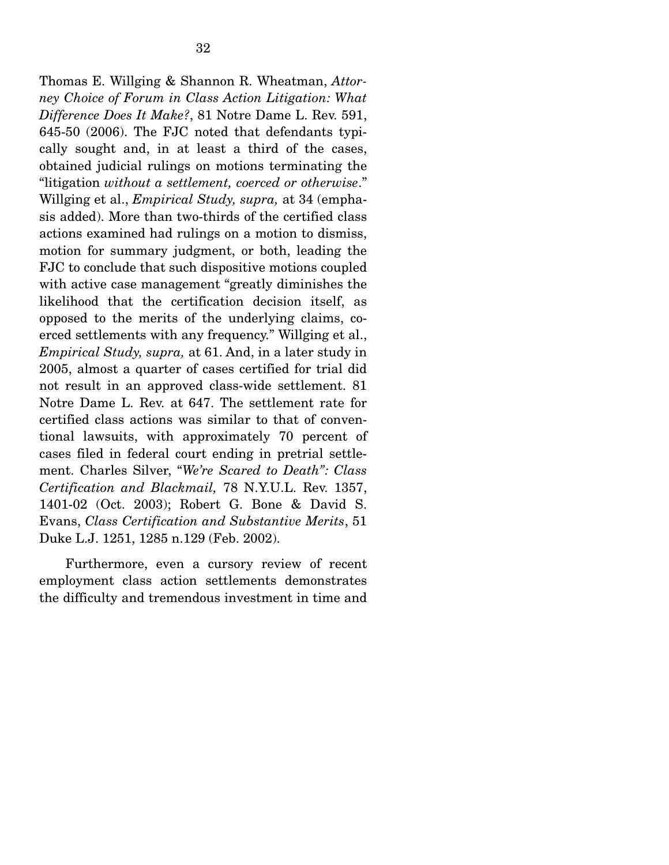Thomas E. Willging & Shannon R. Wheatman, *Attorney Choice of Forum in Class Action Litigation: What Difference Does It Make?*, 81 Notre Dame L. Rev. 591, 645-50 (2006). The FJC noted that defendants typically sought and, in at least a third of the cases, obtained judicial rulings on motions terminating the "litigation *without a settlement, coerced or otherwise*." Willging et al., *Empirical Study, supra,* at 34 (emphasis added). More than two-thirds of the certified class actions examined had rulings on a motion to dismiss, motion for summary judgment, or both, leading the FJC to conclude that such dispositive motions coupled with active case management "greatly diminishes the likelihood that the certification decision itself, as opposed to the merits of the underlying claims, coerced settlements with any frequency." Willging et al., *Empirical Study, supra,* at 61. And, in a later study in 2005, almost a quarter of cases certified for trial did not result in an approved class-wide settlement. 81 Notre Dame L. Rev. at 647. The settlement rate for certified class actions was similar to that of conventional lawsuits, with approximately 70 percent of cases filed in federal court ending in pretrial settlement. Charles Silver, "*We're Scared to Death": Class Certification and Blackmail,* 78 N.Y.U.L. Rev. 1357, 1401-02 (Oct. 2003); Robert G. Bone & David S. Evans, *Class Certification and Substantive Merits*, 51 Duke L.J. 1251, 1285 n.129 (Feb. 2002).

 Furthermore, even a cursory review of recent employment class action settlements demonstrates the difficulty and tremendous investment in time and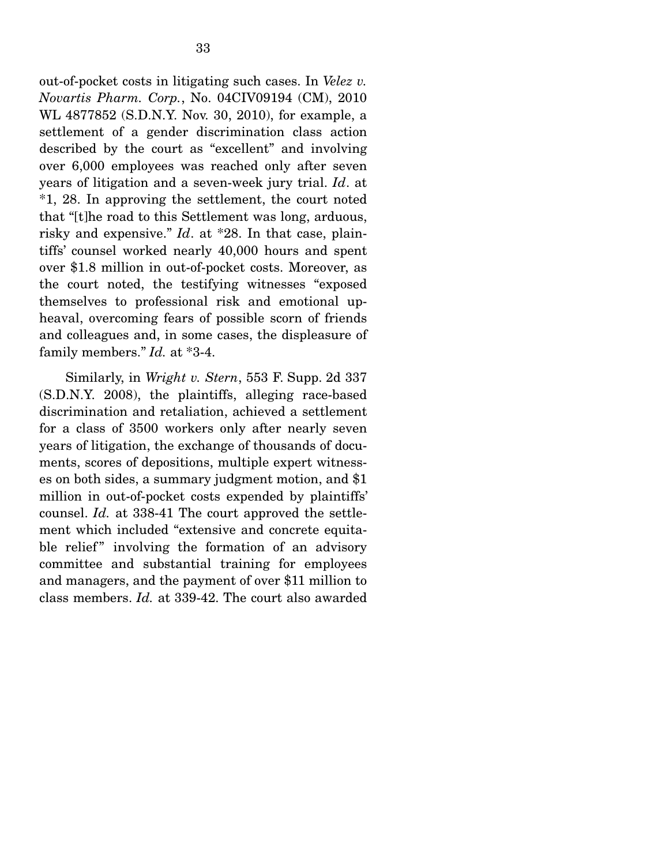out-of-pocket costs in litigating such cases. In *Velez v. Novartis Pharm. Corp.*, No. 04CIV09194 (CM), 2010 WL 4877852 (S.D.N.Y. Nov. 30, 2010), for example, a settlement of a gender discrimination class action described by the court as "excellent" and involving over 6,000 employees was reached only after seven years of litigation and a seven-week jury trial. *Id*. at \*1, 28. In approving the settlement, the court noted that "[t]he road to this Settlement was long, arduous, risky and expensive." *Id*. at \*28. In that case, plaintiffs' counsel worked nearly 40,000 hours and spent over \$1.8 million in out-of-pocket costs. Moreover, as the court noted, the testifying witnesses "exposed themselves to professional risk and emotional upheaval, overcoming fears of possible scorn of friends and colleagues and, in some cases, the displeasure of family members." *Id.* at \*3-4.

 Similarly, in *Wright v. Stern*, 553 F. Supp. 2d 337 (S.D.N.Y. 2008), the plaintiffs, alleging race-based discrimination and retaliation, achieved a settlement for a class of 3500 workers only after nearly seven years of litigation, the exchange of thousands of documents, scores of depositions, multiple expert witnesses on both sides, a summary judgment motion, and \$1 million in out-of-pocket costs expended by plaintiffs' counsel. *Id.* at 338-41 The court approved the settlement which included "extensive and concrete equitable relief" involving the formation of an advisory committee and substantial training for employees and managers, and the payment of over \$11 million to class members. *Id.* at 339-42. The court also awarded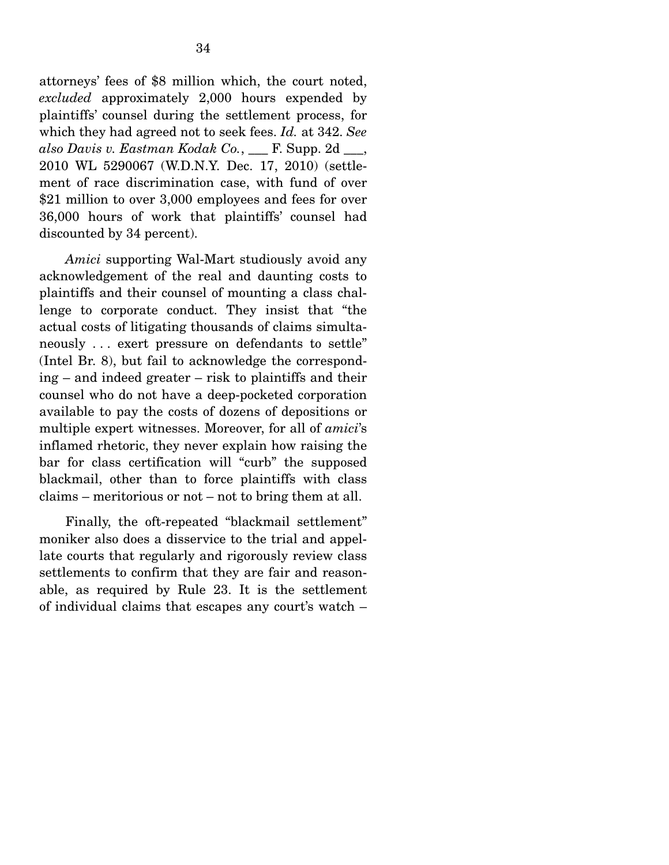attorneys' fees of \$8 million which, the court noted, *excluded* approximately 2,000 hours expended by plaintiffs' counsel during the settlement process, for which they had agreed not to seek fees. *Id.* at 342. *See also Davis v. Eastman Kodak Co.*, \_\_\_ F. Supp. 2d \_\_\_, 2010 WL 5290067 (W.D.N.Y. Dec. 17, 2010) (settlement of race discrimination case, with fund of over \$21 million to over 3,000 employees and fees for over 36,000 hours of work that plaintiffs' counsel had discounted by 34 percent).

*Amici* supporting Wal-Mart studiously avoid any acknowledgement of the real and daunting costs to plaintiffs and their counsel of mounting a class challenge to corporate conduct. They insist that "the actual costs of litigating thousands of claims simultaneously . . . exert pressure on defendants to settle" (Intel Br. 8), but fail to acknowledge the corresponding – and indeed greater – risk to plaintiffs and their counsel who do not have a deep-pocketed corporation available to pay the costs of dozens of depositions or multiple expert witnesses. Moreover, for all of *amici*'s inflamed rhetoric, they never explain how raising the bar for class certification will "curb" the supposed blackmail, other than to force plaintiffs with class claims – meritorious or not – not to bring them at all.

 Finally, the oft-repeated "blackmail settlement" moniker also does a disservice to the trial and appellate courts that regularly and rigorously review class settlements to confirm that they are fair and reasonable, as required by Rule 23. It is the settlement of individual claims that escapes any court's watch –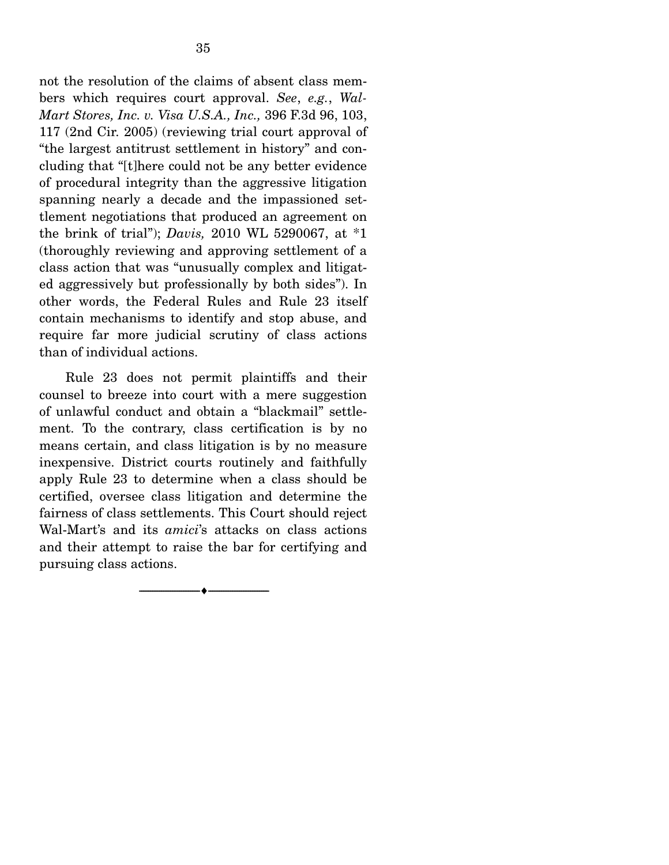not the resolution of the claims of absent class members which requires court approval. *See*, *e.g.*, *Wal-Mart Stores, Inc. v. Visa U.S.A., Inc.,* 396 F.3d 96, 103, 117 (2nd Cir. 2005) (reviewing trial court approval of "the largest antitrust settlement in history" and concluding that "[t]here could not be any better evidence of procedural integrity than the aggressive litigation spanning nearly a decade and the impassioned settlement negotiations that produced an agreement on the brink of trial"); *Davis,* 2010 WL 5290067, at \*1 (thoroughly reviewing and approving settlement of a class action that was "unusually complex and litigat-

ed aggressively but professionally by both sides"). In other words, the Federal Rules and Rule 23 itself contain mechanisms to identify and stop abuse, and require far more judicial scrutiny of class actions than of individual actions.

 Rule 23 does not permit plaintiffs and their counsel to breeze into court with a mere suggestion of unlawful conduct and obtain a "blackmail" settlement. To the contrary, class certification is by no means certain, and class litigation is by no measure inexpensive. District courts routinely and faithfully apply Rule 23 to determine when a class should be certified, oversee class litigation and determine the fairness of class settlements. This Court should reject Wal-Mart's and its *amici*'s attacks on class actions and their attempt to raise the bar for certifying and pursuing class actions.

--------------------------------- ♦ ---------------------------------